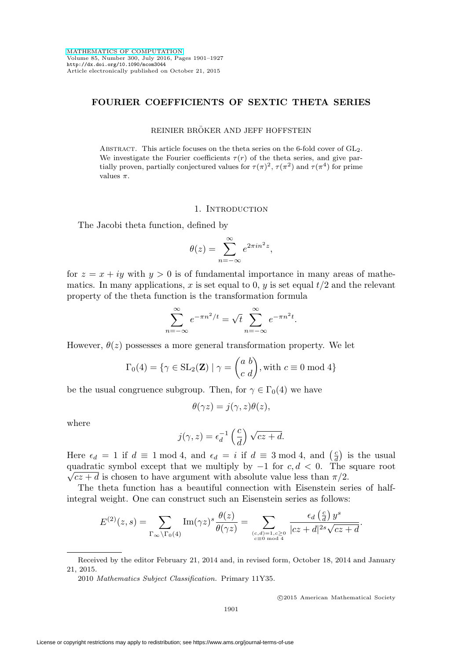# **FOURIER COEFFICIENTS OF SEXTIC THETA SERIES**

### REINIER BRÖKER AND JEFF HOFFSTEIN

ABSTRACT. This article focuses on the theta series on the 6-fold cover of  $GL_2$ . We investigate the Fourier coefficients  $\tau(r)$  of the theta series, and give partially proven, partially conjectured values for  $\tau(\pi)^2$ ,  $\tau(\pi^2)$  and  $\tau(\pi^4)$  for prime values  $\pi$ .

### 1. INTRODUCTION

The Jacobi theta function, defined by

$$
\theta(z) = \sum_{n=-\infty}^{\infty} e^{2\pi i n^2 z},
$$

for  $z = x + iy$  with  $y > 0$  is of fundamental importance in many areas of mathematics. In many applications, x is set equal to 0, y is set equal  $t/2$  and the relevant property of the theta function is the transformation formula

$$
\sum_{n=-\infty}^{\infty} e^{-\pi n^2/t} = \sqrt{t} \sum_{n=-\infty}^{\infty} e^{-\pi n^2 t}.
$$

However,  $\theta(z)$  possesses a more general transformation property. We let

$$
\Gamma_0(4) = \{ \gamma \in SL_2(\mathbf{Z}) \mid \gamma = \begin{pmatrix} a & b \\ c & d \end{pmatrix}, \text{with } c \equiv 0 \text{ mod } 4 \}
$$

be the usual congruence subgroup. Then, for  $\gamma \in \Gamma_0(4)$  we have

$$
\theta(\gamma z) = j(\gamma, z)\theta(z),
$$

where

$$
j(\gamma, z) = \epsilon_d^{-1} \left(\frac{c}{d}\right) \sqrt{cz + d}.
$$

Here  $\epsilon_d = 1$  if  $d \equiv 1 \mod 4$ , and  $\epsilon_d = i$  if  $d \equiv 3 \mod 4$ , and  $\left(\frac{c}{d}\right)$  is the usual quadratic symbol except that we multiply by  $-1$  for  $c, d < 0$ . The square root  $\sqrt{cz + d}$  is chosen to have argument with absolute value less than  $\pi/2$ .

The theta function has a beautiful connection with Eisenstein series of halfintegral weight. One can construct such an Eisenstein series as follows:

$$
E^{(2)}(z,s) = \sum_{\Gamma_{\infty}\backslash\Gamma_{0}(4)} \text{Im}(\gamma z)^{s} \frac{\theta(z)}{\theta(\gamma z)} = \sum_{\substack{(c,d)=1,c\geq 0\\c\equiv 0 \bmod 4}} \frac{\epsilon_{d}\left(\frac{c}{d}\right)y^{s}}{|cz+d|^{2s}\sqrt{cz+d}}.
$$

2010 Mathematics Subject Classification. Primary 11Y35.

-c 2015 American Mathematical Society

Received by the editor February 21, 2014 and, in revised form, October 18, 2014 and January 21, 2015.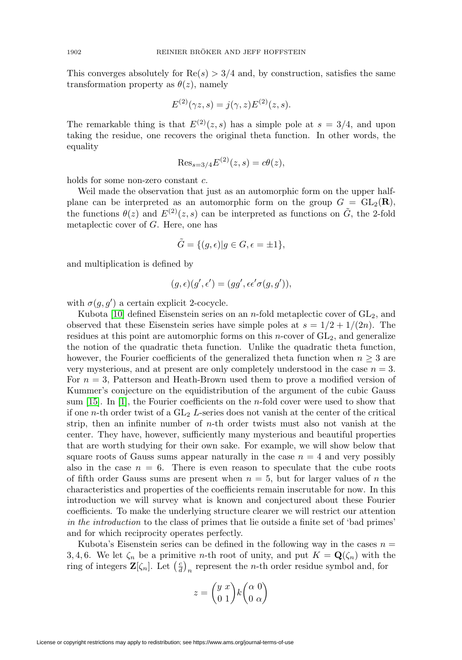This converges absolutely for  $\text{Re}(s) > 3/4$  and, by construction, satisfies the same transformation property as  $\theta(z)$ , namely

$$
E^{(2)}(\gamma z, s) = j(\gamma, z)E^{(2)}(z, s).
$$

The remarkable thing is that  $E^{(2)}(z, s)$  has a simple pole at  $s = 3/4$ , and upon taking the residue, one recovers the original theta function. In other words, the equality

$$
\text{Res}_{s=3/4} E^{(2)}(z,s) = c\theta(z),
$$

holds for some non-zero constant c.

Weil made the observation that just as an automorphic form on the upper halfplane can be interpreted as an automorphic form on the group  $G = GL_2(\mathbf{R}),$ the functions  $\theta(z)$  and  $E^{(2)}(z, s)$  can be interpreted as functions on  $\tilde{G}$ , the 2-fold metaplectic cover of G. Here, one has

$$
\tilde{G} = \{ (g, \epsilon) | g \in G, \epsilon = \pm 1 \},\
$$

and multiplication is defined by

$$
(g,\epsilon)(g',\epsilon')=(gg',\epsilon\epsilon'\sigma(g,g')),
$$

with  $\sigma(g, g')$  a certain explicit 2-cocycle.

Kubota [\[10\]](#page-26-0) defined Eisenstein series on an *n*-fold metaplectic cover of  $GL_2$ , and observed that these Eisenstein series have simple poles at  $s = 1/2 + 1/(2n)$ . The residues at this point are automorphic forms on this *n*-cover of  $GL<sub>2</sub>$ , and generalize the notion of the quadratic theta function. Unlike the quadratic theta function, however, the Fourier coefficients of the generalized theta function when  $n \geq 3$  are very mysterious, and at present are only completely understood in the case  $n = 3$ . For  $n = 3$ , Patterson and Heath-Brown used them to prove a modified version of Kummer's conjecture on the equidistribution of the argument of the cubic Gauss sum [\[15\]](#page-26-1). In [\[1\]](#page-25-0), the Fourier coefficients on the n-fold cover were used to show that if one *n*-th order twist of a  $GL_2$  L-series does not vanish at the center of the critical strip, then an infinite number of  $n$ -th order twists must also not vanish at the center. They have, however, sufficiently many mysterious and beautiful properties that are worth studying for their own sake. For example, we will show below that square roots of Gauss sums appear naturally in the case  $n = 4$  and very possibly also in the case  $n = 6$ . There is even reason to speculate that the cube roots of fifth order Gauss sums are present when  $n = 5$ , but for larger values of n the characteristics and properties of the coefficients remain inscrutable for now. In this introduction we will survey what is known and conjectured about these Fourier coefficients. To make the underlying structure clearer we will restrict our attention in the introduction to the class of primes that lie outside a finite set of 'bad primes' and for which reciprocity operates perfectly.

Kubota's Eisenstein series can be defined in the following way in the cases  $n =$ 3, 4, 6. We let  $\zeta_n$  be a primitive *n*-th root of unity, and put  $K = \mathbf{Q}(\zeta_n)$  with the ring of integers  $\mathbf{Z}[\zeta_n]$ . Let  $\left(\frac{c}{d}\right)_n$  represent the *n*-th order residue symbol and, for

$$
z = \binom{y\ x}{0\ 1} k \binom{\alpha\ 0}{0\ \alpha}
$$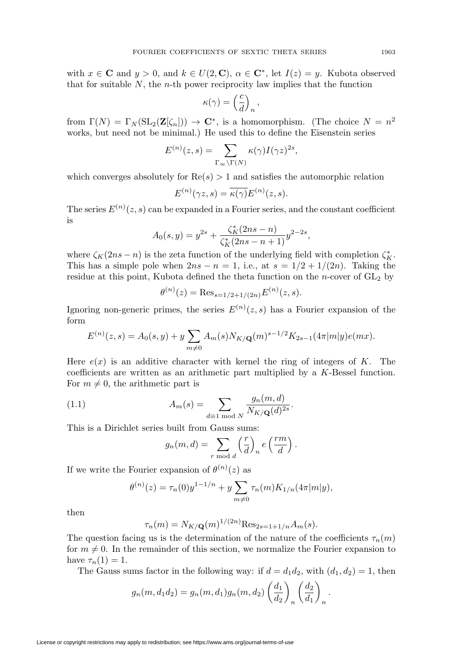with  $x \in \mathbf{C}$  and  $y > 0$ , and  $k \in U(2, \mathbf{C})$ ,  $\alpha \in \mathbf{C}^*$ , let  $I(z) = y$ . Kubota observed that for suitable  $N$ , the *n*-th power reciprocity law implies that the function

$$
\kappa(\gamma) = \left(\frac{c}{d}\right)_n,
$$

from  $\Gamma(N) = \Gamma_N (\text{SL}_2(\mathbf{Z}[\zeta_n])) \to \mathbf{C}^*$ , is a homomorphism. (The choice  $N = n^2$ works, but need not be minimal.) He used this to define the Eisenstein series

$$
E^{(n)}(z,s) = \sum_{\Gamma_{\infty} \backslash \Gamma(N)} \kappa(\gamma) I(\gamma z)^{2s},
$$

which converges absolutely for  $\text{Re}(s) > 1$  and satisfies the automorphic relation

$$
E^{(n)}(\gamma z, s) = \overline{\kappa(\gamma)} E^{(n)}(z, s).
$$

The series  $E^{(n)}(z,s)$  can be expanded in a Fourier series, and the constant coefficient is

$$
A_0(s,y) = y^{2s} + \frac{\zeta_K^*(2ns - n)}{\zeta_K^*(2ns - n + 1)} y^{2-2s},
$$

where  $\zeta_K(2ns - n)$  is the zeta function of the underlying field with completion  $\zeta_K^*$ . This has a simple pole when  $2ns - n = 1$ , i.e., at  $s = 1/2 + 1/(2n)$ . Taking the residue at this point, Kubota defined the theta function on the  $n$ -cover of  $GL_2$  by

$$
\theta^{(n)}(z) = \text{Res}_{s=1/2+1/(2n)} E^{(n)}(z,s).
$$

Ignoring non-generic primes, the series  $E^{(n)}(z, s)$  has a Fourier expansion of the form

$$
E^{(n)}(z,s) = A_0(s,y) + y \sum_{m \neq 0} A_m(s) N_{K/\mathbf{Q}}(m)^{s-1/2} K_{2s-1}(4\pi |m|y) e(mx).
$$

Here  $e(x)$  is an additive character with kernel the ring of integers of K. The coefficients are written as an arithmetic part multiplied by a K-Bessel function. For  $m \neq 0$ , the arithmetic part is

<span id="page-2-0"></span>(1.1) 
$$
A_m(s) = \sum_{d \equiv 1 \bmod N} \frac{g_n(m, d)}{N_{K/\mathbf{Q}}(d)^{2s}}.
$$

This is a Dirichlet series built from Gauss sums:

$$
g_n(m,d) = \sum_{r \bmod d} \left(\frac{r}{d}\right)_n e\left(\frac{rm}{d}\right).
$$

If we write the Fourier expansion of  $\theta^{(n)}(z)$  as

$$
\theta^{(n)}(z) = \tau_n(0) y^{1-1/n} + y \sum_{m \neq 0} \tau_n(m) K_{1/n}(4\pi |m|y),
$$

then

$$
\tau_n(m) = N_{K/\mathbf{Q}}(m)^{1/(2n)} \text{Res}_{2s=1+1/n} A_m(s).
$$

The question facing us is the determination of the nature of the coefficients  $\tau_n(m)$ for  $m \neq 0$ . In the remainder of this section, we normalize the Fourier expansion to have  $\tau_n(1) = 1$ .

The Gauss sums factor in the following way: if  $d = d_1 d_2$ , with  $(d_1, d_2) = 1$ , then

$$
g_n(m, d_1 d_2) = g_n(m, d_1) g_n(m, d_2) \left(\frac{d_1}{d_2}\right)_n \left(\frac{d_2}{d_1}\right)_n.
$$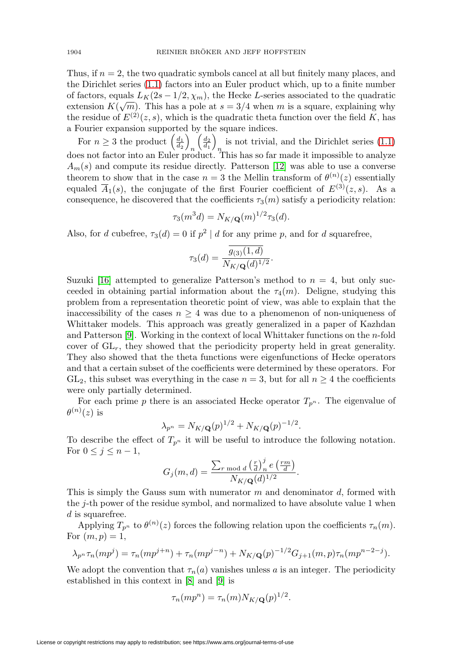Thus, if  $n = 2$ , the two quadratic symbols cancel at all but finitely many places, and the Dirichlet series [\(1.1\)](#page-2-0) factors into an Euler product which, up to a finite number of factors, equals  $L_K(2s-1/2, \chi_m)$ , the Hecke L-series associated to the quadratic or ractors, equals  $L_K(z^2 - 1/z, \chi_m)$ , the rietic *L*-series associated to the quadratic extension  $K(\sqrt{m})$ . This has a pole at  $s = 3/4$  when m is a square, explaining why the residue of  $E^{(2)}(z, s)$ , which is the quadratic theta function over the field K, has a Fourier expansion supported by the square indices.

For  $n \geq 3$  the product  $\left(\frac{d_1}{d_2}\right)$ n  $\left(\frac{d_2}{d_1}\right)_n$  is not trivial, and the Dirichlet series [\(1.1\)](#page-2-0) does not factor into an Euler product. This has so far made it impossible to analyze  $A_m(s)$  and compute its residue directly. Patterson [\[12\]](#page-26-2) was able to use a converse theorem to show that in the case  $n=3$  the Mellin transform of  $\theta^{(n)}(z)$  essentially equaled  $\overline{A}_1(s)$ , the conjugate of the first Fourier coefficient of  $E^{(3)}(z, s)$ . As a consequence, he discovered that the coefficients  $\tau_3(m)$  satisfy a periodicity relation:

$$
\tau_3(m^3 d) = N_{K/\mathbf{Q}}(m)^{1/2} \tau_3(d).
$$

Also, for d cubefree,  $\tau_3(d) = 0$  if  $p^2 | d$  for any prime p, and for d squarefree,

$$
\tau_3(d) = \frac{\overline{g_{(3)}(1,d)}}{N_{K/\mathbf{Q}}(d)^{1/2}}.
$$

Suzuki [\[16\]](#page-26-3) attempted to generalize Patterson's method to  $n = 4$ , but only succeeded in obtaining partial information about the  $\tau_4(m)$ . Deligne, studying this problem from a representation theoretic point of view, was able to explain that the inaccessibility of the cases  $n \geq 4$  was due to a phenomenon of non-uniqueness of Whittaker models. This approach was greatly generalized in a paper of Kazhdan and Patterson  $[9]$ . Working in the context of local Whittaker functions on the *n*-fold cover of  $GL_r$ , they showed that the periodicity property held in great generality. They also showed that the theta functions were eigenfunctions of Hecke operators and that a certain subset of the coefficients were determined by these operators. For  $GL_2$ , this subset was everything in the case  $n = 3$ , but for all  $n \geq 4$  the coefficients were only partially determined.

For each prime p there is an associated Hecke operator  $T_{p^n}$ . The eigenvalue of  $\theta^{(n)}(z)$  is

$$
\lambda_{p^n} = N_{K/\mathbf{Q}}(p)^{1/2} + N_{K/\mathbf{Q}}(p)^{-1/2}.
$$

To describe the effect of  $T_{p^n}$  it will be useful to introduce the following notation. For  $0 \leq j \leq n-1$ ,

$$
G_j(m,d) = \frac{\sum_{r \bmod d} \left(\frac{r}{d}\right)_n^j e\left(\frac{rm}{d}\right)}{N_{K/\mathbf{Q}}(d)^{1/2}}.
$$

This is simply the Gauss sum with numerator  $m$  and denominator  $d$ , formed with the j-th power of the residue symbol, and normalized to have absolute value 1 when d is squarefree.

Applying  $T_{p^n}$  to  $\theta^{(n)}(z)$  forces the following relation upon the coefficients  $\tau_n(m)$ . For  $(m, p) = 1$ ,

$$
\lambda_{p^n} \tau_n(mp^j) = \tau_n(mp^{j+n}) + \tau_n(mp^{j-n}) + N_{K/\mathbf{Q}}(p)^{-1/2} G_{j+1}(m, p) \tau_n(mp^{n-2-j}).
$$

We adopt the convention that  $\tau_n(a)$  vanishes unless a is an integer. The periodicity established in this context in [\[8\]](#page-26-5) and [\[9\]](#page-26-4) is

$$
\tau_n(mp^n) = \tau_n(m) N_{K/\mathbf{Q}}(p)^{1/2}.
$$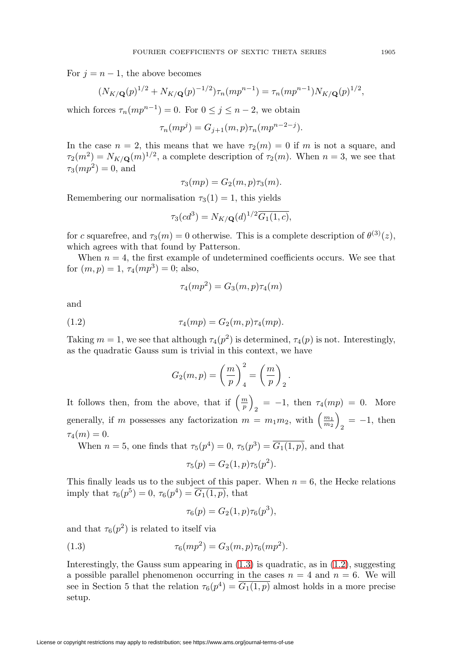For  $j = n - 1$ , the above becomes

$$
(N_{K/\mathbf{Q}}(p)^{1/2} + N_{K/\mathbf{Q}}(p)^{-1/2})\tau_n(mp^{n-1}) = \tau_n(mp^{n-1})N_{K/\mathbf{Q}}(p)^{1/2},
$$

which forces  $\tau_n(mp^{n-1}) = 0$ . For  $0 \leq j \leq n-2$ , we obtain

$$
\tau_n(mp^j) = G_{j+1}(m, p)\tau_n(mp^{n-2-j}).
$$

In the case  $n = 2$ , this means that we have  $\tau_2(m) = 0$  if m is not a square, and  $\tau_2(m^2) = N_{K/\mathbf{Q}}(m)^{1/2}$ , a complete description of  $\tau_2(m)$ . When  $n = 3$ , we see that  $\tau_3(mp^2) = 0$ , and

$$
\tau_3(mp) = G_2(m, p)\tau_3(m).
$$

Remembering our normalisation  $\tau_3(1) = 1$ , this yields

$$
\tau_3(cd^3) = N_{K/\mathbf{Q}}(d)^{1/2} \overline{G_1(1, c)},
$$

for c squarefree, and  $\tau_3(m) = 0$  otherwise. This is a complete description of  $\theta^{(3)}(z)$ , which agrees with that found by Patterson.

When  $n = 4$ , the first example of undetermined coefficients occurs. We see that for  $(m, p) = 1$ ,  $\tau_4(mp^3) = 0$ ; also,

$$
\tau_4(mp^2) = G_3(m, p)\tau_4(m)
$$

and

<span id="page-4-1"></span>(1.2) 
$$
\tau_4(mp) = G_2(m, p) \tau_4(mp).
$$

Taking  $m = 1$ , we see that although  $\tau_4(p^2)$  is determined,  $\tau_4(p)$  is not. Interestingly, as the quadratic Gauss sum is trivial in this context, we have

$$
G_2(m,p) = \left(\frac{m}{p}\right)_4^2 = \left(\frac{m}{p}\right)_2.
$$

It follows then, from the above, that if  $\left(\frac{m}{p}\right)_2 = -1$ , then  $\tau_4(mp) = 0$ . More generally, if m possesses any factorization  $m = m_1 m_2$ , with  $\left(\frac{m_1}{m_2}\right)_2 = -1$ , then  $\tau_4(m) = 0.$ 

When  $n = 5$ , one finds that  $\tau_5(p^4) = 0$ ,  $\tau_5(p^3) = \overline{G_1(1, p)}$ , and that

$$
\tau_5(p) = G_2(1, p)\tau_5(p^2).
$$

This finally leads us to the subject of this paper. When  $n = 6$ , the Hecke relations imply that  $\tau_6(p^5) = 0$ ,  $\tau_6(p^4) = G_1(1, p)$ , that

$$
\tau_6(p) = G_2(1, p)\tau_6(p^3),
$$

and that  $\tau_6(p^2)$  is related to itself via

<span id="page-4-0"></span>(1.3) 
$$
\tau_6(mp^2) = G_3(m, p)\tau_6(mp^2).
$$

Interestingly, the Gauss sum appearing in  $(1.3)$  is quadratic, as in  $(1.2)$ , suggesting a possible parallel phenomenon occurring in the cases  $n = 4$  and  $n = 6$ . We will see in Section 5 that the relation  $\tau_6(p^4) = G_1(1,p)$  almost holds in a more precise setup.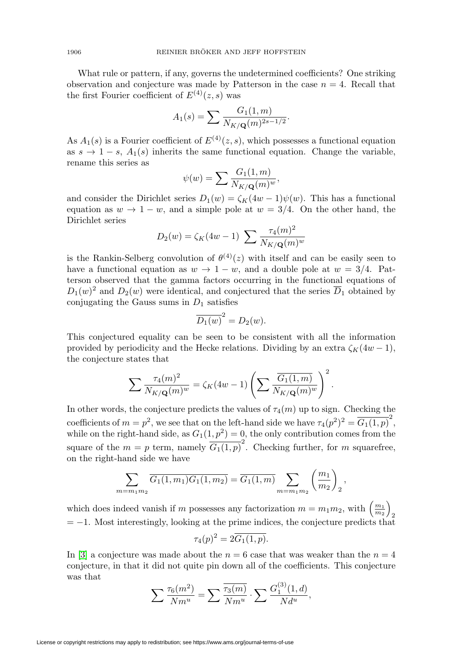What rule or pattern, if any, governs the undetermined coefficients? One striking observation and conjecture was made by Patterson in the case  $n = 4$ . Recall that the first Fourier coefficient of  $E^{(4)}(z, s)$  was

$$
A_1(s) = \sum \frac{G_1(1, m)}{N_{K/\mathbf{Q}}(m)^{2s - 1/2}}.
$$

As  $A_1(s)$  is a Fourier coefficient of  $E^{(4)}(z, s)$ , which possesses a functional equation as  $s \to 1-s$ ,  $A_1(s)$  inherits the same functional equation. Change the variable, rename this series as

$$
\psi(w) = \sum \frac{G_1(1,m)}{N_{K/\mathbf{Q}}(m)^w},
$$

and consider the Dirichlet series  $D_1(w) = \zeta_K(4w-1)\psi(w)$ . This has a functional equation as  $w \to 1 - w$ , and a simple pole at  $w = 3/4$ . On the other hand, the Dirichlet series

$$
D_2(w) = \zeta_K(4w - 1) \sum \frac{\tau_4(m)^2}{N_{K/\mathbf{Q}}(m)^w}
$$

is the Rankin-Selberg convolution of  $\theta^{(4)}(z)$  with itself and can be easily seen to have a functional equation as  $w \to 1 - w$ , and a double pole at  $w = 3/4$ . Patterson observed that the gamma factors occurring in the functional equations of  $D_1(w)^2$  and  $D_2(w)$  were identical, and conjectured that the series  $\overline{D}_1$  obtained by conjugating the Gauss sums in  $D_1$  satisfies

$$
\overline{D_1(w)}^2 = D_2(w).
$$

This conjectured equality can be seen to be consistent with all the information provided by periodicity and the Hecke relations. Dividing by an extra  $\zeta_K(4w-1)$ , the conjecture states that

$$
\sum \frac{\tau_4(m)^2}{N_{K/\mathbf{Q}}(m)^w} = \zeta_K(4w-1) \left( \sum \frac{\overline{G_1(1,m)}}{N_{K/\mathbf{Q}}(m)^w} \right)^2.
$$

In other words, the conjecture predicts the values of  $\tau_4(m)$  up to sign. Checking the coefficients of  $m = p^2$ , we see that on the left-hand side we have  $\tau_4(p^2)^2 = \overline{G_1(1,p)}^2$ , while on the right-hand side, as  $G_1(1, p^2) = 0$ , the only contribution comes from the square of the  $m = p$  term, namely  $\overline{G_1(1,p)}^2$ . Checking further, for m squarefree, on the right-hand side we have

$$
\sum_{m=m_1m_2} \overline{G_1(1,m_1)G_1(1,m_2)} = \overline{G_1(1,m)} \sum_{m=m_1m_2} \left(\frac{m_1}{m_2}\right)_2
$$

,

which does indeed vanish if m possesses any factorization  $m = m_1 m_2$ , with  $\left(\frac{m_1}{m_2}\right)$  $= -1$ . Most interestingly, looking at the prime indices, the conjecture predicts that

$$
\tau_4(p)^2 = 2\overline{G_1(1,p)}.
$$

In [\[3\]](#page-25-1) a conjecture was made about the  $n = 6$  case that was weaker than the  $n = 4$ conjecture, in that it did not quite pin down all of the coefficients. This conjecture was that

$$
\sum \frac{\tau_6(m^2)}{Nm^u} = \sum \frac{\overline{\tau_3(m)}}{Nm^u} \cdot \sum \frac{G_1^{(3)}(1,d)}{Nd^u},
$$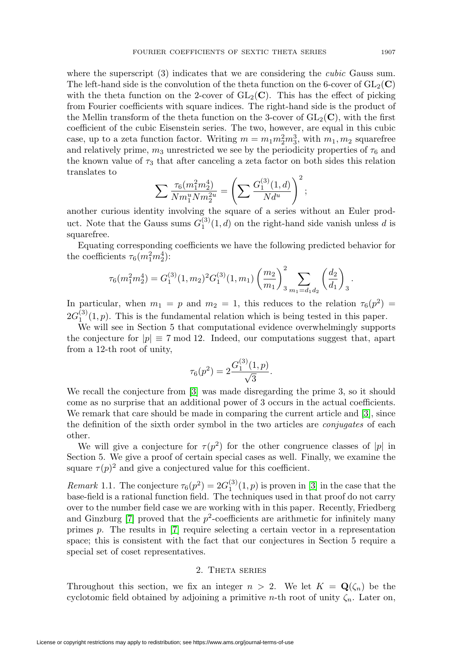where the superscript (3) indicates that we are considering the *cubic* Gauss sum. The left-hand side is the convolution of the theta function on the 6-cover of  $GL_2(\mathbf{C})$ with the theta function on the 2-cover of  $GL_2(\mathbb{C})$ . This has the effect of picking from Fourier coefficients with square indices. The right-hand side is the product of the Mellin transform of the theta function on the 3-cover of  $GL_2(\mathbb{C})$ , with the first coefficient of the cubic Eisenstein series. The two, however, are equal in this cubic case, up to a zeta function factor. Writing  $m = m_1 m_2^2 m_3^3$ , with  $m_1, m_2$  squarefree and relatively prime,  $m_3$  unrestricted we see by the periodicity properties of  $\tau_6$  and the known value of  $\tau_3$  that after canceling a zeta factor on both sides this relation translates to

$$
\sum \frac{\tau_6(m_1^2 m_2^4)}{N m_1^u N m_2^{2u}} = \left(\sum \frac{G_1^{(3)}(1,d)}{N d^u}\right)^2;
$$

another curious identity involving the square of a series without an Euler product. Note that the Gauss sums  $G_1^{(3)}(1, d)$  on the right-hand side vanish unless d is squarefree.

Equating corresponding coefficients we have the following predicted behavior for the coefficients  $\tau_6(m_1^2 m_2^4)$ :

$$
\tau_6(m_1^2 m_2^4) = G_1^{(3)}(1, m_2)^2 G_1^{(3)}(1, m_1) \left(\frac{m_2}{m_1}\right)^2 \sum_{m_1=d_1 d_2} \left(\frac{d_2}{d_1}\right)_3.
$$

In particular, when  $m_1 = p$  and  $m_2 = 1$ , this reduces to the relation  $\tau_6(p^2)$  $2G_1^{(3)}(1,p)$ . This is the fundamental relation which is being tested in this paper.

We will see in Section 5 that computational evidence overwhelmingly supports the conjecture for  $|p| \equiv 7 \text{ mod } 12$ . Indeed, our computations suggest that, apart from a 12-th root of unity,

$$
\tau_6(p^2) = 2 \frac{G_1^{(3)}(1, p)}{\sqrt{3}}.
$$

We recall the conjecture from [\[3\]](#page-25-1) was made disregarding the prime 3, so it should come as no surprise that an additional power of 3 occurs in the actual coefficients. We remark that care should be made in comparing the current article and [\[3\]](#page-25-1), since the definition of the sixth order symbol in the two articles are conjugates of each other.

We will give a conjecture for  $\tau(p^2)$  for the other congruence classes of |p| in Section 5. We give a proof of certain special cases as well. Finally, we examine the square  $\tau(p)^2$  and give a conjectured value for this coefficient.

*Remark* 1.1. The conjecture  $\tau_6(p^2) = 2G_1^{(3)}(1, p)$  is proven in [\[3\]](#page-25-1) in the case that the base-field is a rational function field. The techniques used in that proof do not carry over to the number field case we are working with in this paper. Recently, Friedberg and Ginzburg [\[7\]](#page-26-6) proved that the  $p^2$ -coefficients are arithmetic for infinitely many primes p. The results in [\[7\]](#page-26-6) require selecting a certain vector in a representation space; this is consistent with the fact that our conjectures in Section 5 require a special set of coset representatives.

## 2. Theta series

Throughout this section, we fix an integer  $n > 2$ . We let  $K = \mathbf{Q}(\zeta_n)$  be the cyclotomic field obtained by adjoining a primitive *n*-th root of unity  $\zeta_n$ . Later on,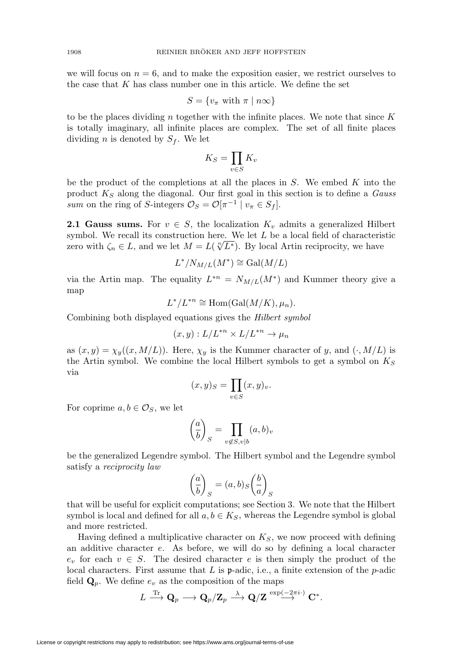we will focus on  $n = 6$ , and to make the exposition easier, we restrict ourselves to the case that  $K$  has class number one in this article. We define the set

$$
S = \{v_{\pi} \text{ with } \pi \mid n\infty\}
$$

to be the places dividing n together with the infinite places. We note that since  $K$ is totally imaginary, all infinite places are complex. The set of all finite places dividing *n* is denoted by  $S_f$ . We let

$$
K_S = \prod_{v \in S} K_v
$$

be the product of the completions at all the places in  $S$ . We embed  $K$  into the product  $K_S$  along the diagonal. Our first goal in this section is to define a Gauss sum on the ring of S-integers  $\mathcal{O}_S = \mathcal{O}[\pi^{-1} | v_\pi \in S_f].$ 

**2.1 Gauss sums.** For  $v \in S$ , the localization  $K_v$  admits a generalized Hilbert symbol. We recall its construction here. We let L be a local field of characteristic zero with  $\zeta_n \in L$ , and we let  $M = L(\sqrt[n]{L^*})$ . By local Artin reciprocity, we have

$$
L^* / N_{M/L}(M^*) \cong \text{Gal}(M/L)
$$

via the Artin map. The equality  $L^{*n} = N_{M/L}(M^*)$  and Kummer theory give a map

$$
L^*/L^{*n} \cong \text{Hom}(\text{Gal}(M/K), \mu_n).
$$

Combining both displayed equations gives the Hilbert symbol

$$
(x,y):L/L^{*n}\times L/L^{*n}\to \mu_n
$$

as  $(x, y) = \chi_y((x, M/L))$ . Here,  $\chi_y$  is the Kummer character of y, and  $(\cdot, M/L)$  is the Artin symbol. We combine the local Hilbert symbols to get a symbol on  $K_S$ via

$$
(x,y)_S = \prod_{v \in S} (x,y)_v.
$$

For coprime  $a, b \in \mathcal{O}_S$ , we let

$$
\left(\frac{a}{b}\right)_S = \prod_{v \notin S, v \mid b} (a, b)_v
$$

be the generalized Legendre symbol. The Hilbert symbol and the Legendre symbol satisfy a reciprocity law

$$
\left(\frac{a}{b}\right)_S = (a, b)_S \left(\frac{b}{a}\right)_S
$$

that will be useful for explicit computations; see Section 3. We note that the Hilbert symbol is local and defined for all  $a, b \in K_S$ , whereas the Legendre symbol is global and more restricted.

Having defined a multiplicative character on  $K_S$ , we now proceed with defining an additive character e. As before, we will do so by defining a local character  $e_v$  for each  $v \in S$ . The desired character e is then simply the product of the local characters. First assume that  $L$  is  $p$ -adic, i.e., a finite extension of the  $p$ -adic field  $\mathbf{Q}_p$ . We define  $e_v$  as the composition of the maps

$$
L\stackrel{{\rm Tr}}{\longrightarrow} {\bf Q}_{p}\longrightarrow {\bf Q}_{p}/{\bf Z}_{p}\stackrel{\lambda}{\longrightarrow} {\bf Q}/{\bf Z}\stackrel{\exp(-2\pi i\cdot)}{\longrightarrow}{\bf C}^{*}.
$$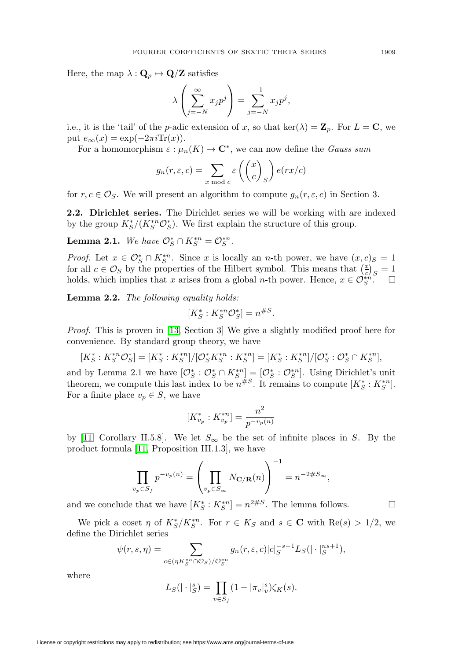Here, the map  $\lambda: \mathbf{Q}_p \mapsto \mathbf{Q}/\mathbf{Z}$  satisfies

$$
\lambda \left( \sum_{j=-N}^{\infty} x_j p^j \right) = \sum_{j=-N}^{-1} x_j p^j,
$$

i.e., it is the 'tail' of the *p*-adic extension of x, so that ker( $\lambda$ ) =  $\mathbf{Z}_p$ . For  $L = \mathbf{C}$ , we put  $e_{\infty}(x) = \exp(-2\pi i \text{Tr}(x)).$ 

For a homomorphism  $\varepsilon : \mu_n(K) \to \mathbb{C}^*$ , we can now define the *Gauss sum* 

$$
g_n(r, \varepsilon, c) = \sum_{x \bmod c} \varepsilon \left( \left( \frac{x}{c} \right)_S \right) e(rx/c)
$$

for  $r, c \in \mathcal{O}_S$ . We will present an algorithm to compute  $g_n(r, \varepsilon, c)$  in Section 3.

**2.2. Dirichlet series.** The Dirichlet series we will be working with are indexed by the group  $K_S^*/(K_S^{*n}\mathcal{O}_S^*)$ . We first explain the structure of this group.

**Lemma 2.1.** We have  $\mathcal{O}_S^* \cap K_S^{*n} = \mathcal{O}_S^{*n}$ .

*Proof.* Let  $x \in \mathcal{O}_S^* \cap K_S^{*n}$ . Since x is locally an n-th power, we have  $(x, c)_S = 1$ for all  $c \in \mathcal{O}_S$  by the properties of the Hilbert symbol. This means that  $\left(\frac{x}{c}\right)_S = 1$ holds, which implies that x arises from a global n-th power. Hence,  $x \in \mathcal{O}_{S}^{*n}$ .  $\Box$ 

**Lemma 2.2.** The following equality holds:

$$
[K_S^* : K_S^{*n} \mathcal{O}_S^*] = n^{\#S}.
$$

Proof. This is proven in [\[13,](#page-26-7) Section 3] We give a slightly modified proof here for convenience. By standard group theory, we have

$$
[K_S^*: K_S^{*n} \mathcal{O}_S^*] = [K_S^*: K_S^{*n}]/[\mathcal{O}_S^* K_S^{*n} : K_S^{*n}] = [K_S^*: K_S^{*n}]/[\mathcal{O}_S^*: \mathcal{O}_S^* \cap K_S^{*n}],
$$

and by Lemma 2.1 we have  $[\mathcal{O}_S^* : \mathcal{O}_S^* \cap K_S^{*n}] = [\mathcal{O}_S^* : \mathcal{O}_S^{*n}]$ . Using Dirichlet's unit theorem, we compute this last index to be  $n^{\#S}$ . It remains to compute  $[K_S^*: K_S^{*n}]$ . For a finite place  $v_p \in S$ , we have

$$
[K_{v_p}^* : K_{v_p}^{*n}] = \frac{n^2}{p^{-v_p(n)}}
$$

by [\[11,](#page-26-8) Corollary II.5.8]. We let  $S_{\infty}$  be the set of infinite places in S. By the product formula [\[11,](#page-26-8) Proposition III.1.3], we have

$$
\prod_{v_p \in S_f} p^{-v_p(n)} = \left(\prod_{v_p \in S_\infty} N_{\mathbf{C}/\mathbf{R}}(n)\right)^{-1} = n^{-2\#S_\infty},
$$

and we conclude that we have  $[K_S^*: K_S^{*n}] = n^{2\#S}$ . The lemma follows.

We pick a coset  $\eta$  of  $K_S^*/K_S^{*n}$ . For  $r \in K_S$  and  $s \in \mathbb{C}$  with  $\text{Re}(s) > 1/2$ , we define the Dirichlet series

$$
\psi(r,s,\eta) = \sum_{c \in (\eta K_S^{*n} \cap \mathcal{O}_S)/\mathcal{O}_S^{*n}} g_n(r,\varepsilon,c) |c|_S^{-s-1} L_S(|\cdot|_S^{ns+1}),
$$

where

$$
L_S(|\cdot|_S^s) = \prod_{v \in S_f} (1 - |\pi_v|_v^s) \zeta_K(s).
$$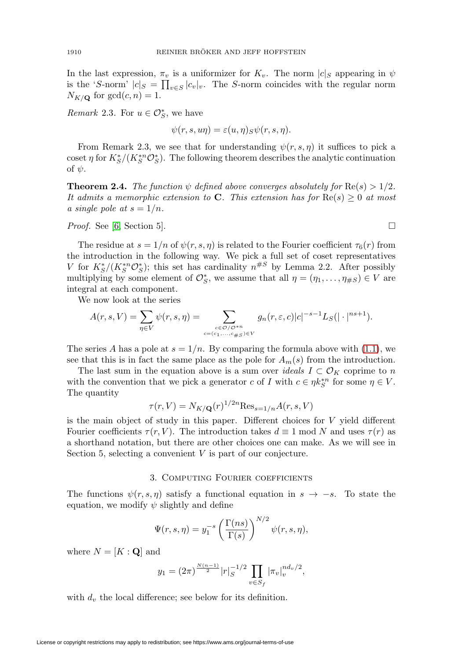In the last expression,  $\pi_v$  is a uniformizer for  $K_v$ . The norm  $|c|_S$  appearing in  $\psi$ is the 'S-norm'  $|c|_S = \prod_{v \in S} |c_v|_v$ . The S-norm coincides with the regular norm  $N_{K/\mathbf{Q}}$  for  $gcd(c, n) = 1$ .

*Remark* 2.3. For  $u \in \mathcal{O}_S^*$ , we have

$$
\psi(r, s, u\eta) = \varepsilon(u, \eta)_{S}\psi(r, s, \eta).
$$

From Remark 2.3, we see that for understanding  $\psi(r, s, \eta)$  it suffices to pick a coset  $\eta$  for  $K_S^*/(K_S^{*n}\mathcal{O}_S^*)$ . The following theorem describes the analytic continuation of  $\psi$ .

**Theorem 2.4.** The function  $\psi$  defined above converges absolutely for  $\text{Re}(s) > 1/2$ . It admits a memorphic extension to **C**. This extension has for  $\text{Re}(s) \geq 0$  at most a single pole at  $s = 1/n$ .

*Proof.* See [\[6,](#page-25-2) Section 5].  $\Box$ 

The residue at  $s = 1/n$  of  $\psi(r, s, \eta)$  is related to the Fourier coefficient  $\tau_6(r)$  from the introduction in the following way. We pick a full set of coset representatives V for  $K_S^*/(K_S^{*n}\mathcal{O}_S^*)$ ; this set has cardinality  $n^{\#S}$  by Lemma 2.2. After possibly multiplying by some element of  $\mathcal{O}_{S}^{*}$ , we assume that all  $\eta = (\eta_1, \ldots, \eta_{\#S}) \in V$  are integral at each component.

We now look at the series

$$
A(r,s,V)=\sum_{\eta\in V}\psi(r,s,\eta)=\sum_{\stackrel{c\in\mathcal{O}/\mathcal{O}^{*n}}{c=(c_1,\ldots,c_{\#S})\in V}}g_n(r,\varepsilon,c)|c|^{-s-1}L_S(|\cdot|^{ns+1}).
$$

The series A has a pole at  $s = 1/n$ . By comparing the formula above with [\(1.1\)](#page-2-0), we see that this is in fact the same place as the pole for  $A_m(s)$  from the introduction.

The last sum in the equation above is a sum over *ideals*  $I \subset \mathcal{O}_K$  coprime to n with the convention that we pick a generator c of I with  $c \in \eta k_S^{*n}$  for some  $\eta \in V$ . The quantity

$$
\tau(r,V) = N_{K/\mathbf{Q}}(r)^{1/2n} \text{Res}_{s=1/n} A(r,s,V)
$$

is the main object of study in this paper. Different choices for  $V$  yield different Fourier coefficients  $\tau(r, V)$ . The introduction takes  $d \equiv 1 \mod N$  and uses  $\tau(r)$  as a shorthand notation, but there are other choices one can make. As we will see in Section 5, selecting a convenient  $V$  is part of our conjecture.

## 3. Computing Fourier coefficients

The functions  $\psi(r, s, \eta)$  satisfy a functional equation in  $s \to -s$ . To state the equation, we modify  $\psi$  slightly and define

$$
\Psi(r,s,\eta) = y_1^{-s} \left(\frac{\Gamma(ns)}{\Gamma(s)}\right)^{N/2} \psi(r,s,\eta),
$$

where  $N = [K : \mathbf{Q}]$  and

$$
y_1 = (2\pi)^{\frac{N(n-1)}{2}} |r|_S^{-1/2} \prod_{v \in S_f} |\pi_v|_v^{n d_v/2},
$$

with  $d<sub>v</sub>$  the local difference; see below for its definition.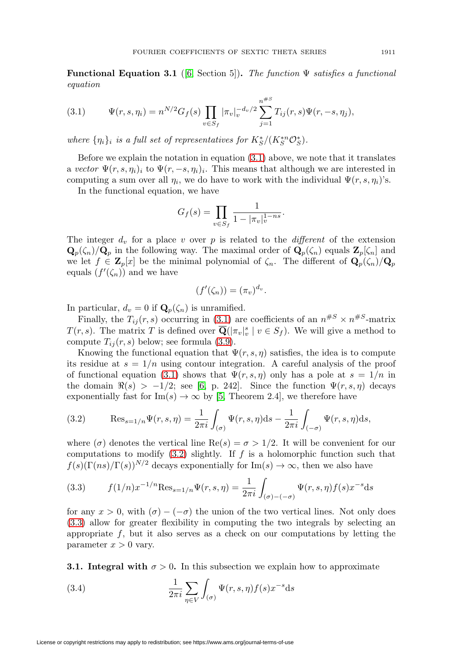**Functional Equation 3.1** ([\[6,](#page-25-2) Section 5]). The function  $\Psi$  satisfies a functional equation

<span id="page-10-0"></span>(3.1) 
$$
\Psi(r,s,\eta_i) = n^{N/2} G_f(s) \prod_{v \in S_f} |\pi_v|_v^{-d_v/2} \sum_{j=1}^{n^{*S}} T_{ij}(r,s) \Psi(r,-s,\eta_j),
$$

where  $\{\eta_i\}_i$  is a full set of representatives for  $K_S^*/(K_S^{*n}\mathcal{O}_S^*)$ .

Before we explain the notation in equation  $(3.1)$  above, we note that it translates a vector  $\Psi(r, s, \eta_i)_i$  to  $\Psi(r, -s, \eta_i)_i$ . This means that although we are interested in computing a sum over all  $\eta_i$ , we do have to work with the individual  $\Psi(r, s, \eta_i)$ 's.

In the functional equation, we have

$$
G_f(s) = \prod_{v \in S_f} \frac{1}{1 - |\pi_v|_v^{1 - ns}}.
$$

The integer  $d_v$  for a place v over p is related to the *different* of the extension  $\mathbf{Q}_p(\zeta_n)/\mathbf{Q}_p$  in the following way. The maximal order of  $\mathbf{Q}_p(\zeta_n)$  equals  $\mathbf{Z}_p[\zeta_n]$  and we let  $f \in \mathbf{Z}_p[x]$  be the minimal polynomial of  $\zeta_n$ . The different of  $\mathbf{Q}_p(\zeta_n)/\mathbf{Q}_p$ equals  $(f'(\zeta_n))$  and we have

$$
(f'(\zeta_n)) = (\pi_v)^{d_v}.
$$

In particular,  $d_v = 0$  if  $\mathbf{Q}_p(\zeta_n)$  is unramified.

Finally, the  $T_{ij}(r, s)$  occurring in [\(3.1\)](#page-10-0) are coefficients of an  $n^{#S} \times n^{#S}$ -matrix  $T(r, s)$ . The matrix T is defined over  $\overline{\mathbf{Q}}(|\pi_v|^s_v \mid v \in S_f)$ . We will give a method to compute  $T_{ij}(r, s)$  below; see formula [\(3.9\)](#page-12-0).

Knowing the functional equation that  $\Psi(r, s, \eta)$  satisfies, the idea is to compute its residue at  $s = 1/n$  using contour integration. A careful analysis of the proof of functional equation [\(3.1\)](#page-10-0) shows that  $\Psi(r, s, \eta)$  only has a pole at  $s = 1/n$  in the domain  $\Re(s) > -1/2$ ; see [\[6,](#page-25-2) p. 242]. Since the function  $\Psi(r, s, \eta)$  decays exponentially fast for  $\text{Im}(s) \to \infty$  by [\[5,](#page-25-3) Theorem 2.4], we therefore have

<span id="page-10-1"></span>(3.2) 
$$
\text{Res}_{s=1/n} \Psi(r, s, \eta) = \frac{1}{2\pi i} \int_{(\sigma)} \Psi(r, s, \eta) \, ds - \frac{1}{2\pi i} \int_{(-\sigma)} \Psi(r, s, \eta) \, ds,
$$

where ( $\sigma$ ) denotes the vertical line Re( $s$ ) =  $\sigma > 1/2$ . It will be convenient for our computations to modify  $(3.2)$  slightly. If f is a holomorphic function such that  $f(s)(\Gamma(ns)/\Gamma(s))^{N/2}$  decays exponentially for  $\text{Im}(s) \to \infty$ , then we also have

<span id="page-10-2"></span>(3.3) 
$$
f(1/n)x^{-1/n}\text{Res}_{s=1/n}\Psi(r,s,\eta) = \frac{1}{2\pi i}\int_{(\sigma)-(-\sigma)}\Psi(r,s,\eta)f(s)x^{-s}\text{d}s
$$

for any  $x > 0$ , with  $(\sigma) - (-\sigma)$  the union of the two vertical lines. Not only does [\(3.3\)](#page-10-2) allow for greater flexibility in computing the two integrals by selecting an appropriate  $f$ , but it also serves as a check on our computations by letting the parameter  $x > 0$  vary.

**3.1. Integral with**  $\sigma > 0$ . In this subsection we explain how to approximate

<span id="page-10-3"></span>(3.4) 
$$
\frac{1}{2\pi i} \sum_{\eta \in V} \int_{(\sigma)} \Psi(r, s, \eta) f(s) x^{-s} ds
$$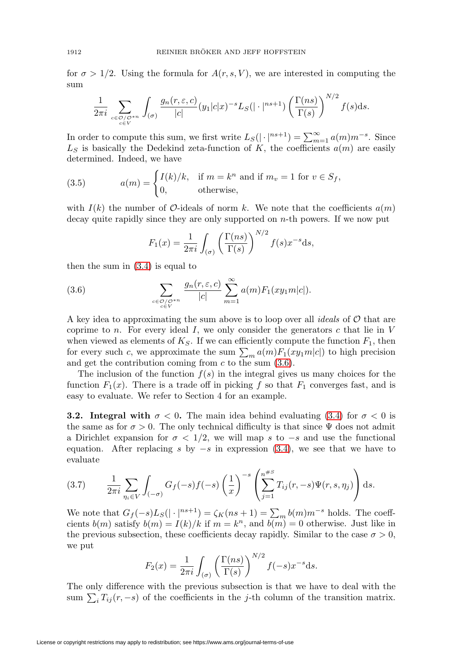for  $\sigma > 1/2$ . Using the formula for  $A(r, s, V)$ , we are interested in computing the sum

$$
\frac{1}{2\pi i} \sum_{\substack{c \in \mathcal{O}/\mathcal{O}^{*n} \\ c \in V}} \int_{(\sigma)} \frac{g_n(r, \varepsilon, c)}{|c|} (y_1 |c| x)^{-s} L_S(|\cdot|^{ns+1}) \left(\frac{\Gamma(ns)}{\Gamma(s)}\right)^{N/2} f(s) ds.
$$

In order to compute this sum, we first write  $L_S(|\cdot|^{ns+1}) = \sum_{m=1}^{\infty} a(m)m^{-s}$ . Since  $L<sub>S</sub>$  is basically the Dedekind zeta-function of K, the coefficients  $a(m)$  are easily determined. Indeed, we have

<span id="page-11-1"></span>(3.5) 
$$
a(m) = \begin{cases} I(k)/k, & \text{if } m = k^n \text{ and if } m_v = 1 \text{ for } v \in S_f, \\ 0, & \text{otherwise,} \end{cases}
$$

with  $I(k)$  the number of  $\mathcal{O}$ -ideals of norm k. We note that the coefficients  $a(m)$ decay quite rapidly since they are only supported on  $n$ -th powers. If we now put

$$
F_1(x) = \frac{1}{2\pi i} \int_{(\sigma)} \left( \frac{\Gamma(ns)}{\Gamma(s)} \right)^{N/2} f(s) x^{-s} ds,
$$

then the sum in [\(3.4\)](#page-10-3) is equal to

<span id="page-11-0"></span>(3.6) 
$$
\sum_{\substack{c \in \mathcal{O}/\mathcal{O}^{*n} \\ c \in V}} \frac{g_n(r, \varepsilon, c)}{|c|} \sum_{m=1}^{\infty} a(m) F_1(xy_1 m|c|).
$$

A key idea to approximating the sum above is to loop over all *ideals* of  $\mathcal O$  that are coprime to n. For every ideal  $I$ , we only consider the generators c that lie in  $V$ when viewed as elements of  $K_S$ . If we can efficiently compute the function  $F_1$ , then for every such c, we approximate the sum  $\sum_{m} a(m) F_1(xy_1 m|c|)$  to high precision and get the contribution coming from  $c$  to the sum  $(3.6)$ .

The inclusion of the function  $f(s)$  in the integral gives us many choices for the function  $F_1(x)$ . There is a trade off in picking f so that  $F_1$  converges fast, and is easy to evaluate. We refer to Section 4 for an example.

**3.2. Integral with**  $\sigma < 0$ **. The main idea behind evaluating [\(3.4\)](#page-10-3) for**  $\sigma < 0$  **is** the same as for  $\sigma > 0$ . The only technical difficulty is that since  $\Psi$  does not admit a Dirichlet expansion for  $\sigma < 1/2$ , we will map s to  $-s$  and use the functional equation. After replacing s by  $-s$  in expression [\(3.4\)](#page-10-3), we see that we have to evaluate

$$
(3.7) \qquad \frac{1}{2\pi i} \sum_{\eta_i \in V} \int_{(-\sigma)} G_f(-s) f(-s) \left(\frac{1}{x}\right)^{-s} \left(\sum_{j=1}^{n^{*S}} T_{ij}(r, -s) \Psi(r, s, \eta_j)\right) ds.
$$

We note that  $G_f(-s)L_S(|\cdot|^{ns+1}) = \zeta_K(ns+1) = \sum_m b(m)m^{-s}$  holds. The coeffcients  $b(m)$  satisfy  $b(m) = I(k)/k$  if  $m = k<sup>n</sup>$ , and  $b(m) = 0$  otherwise. Just like in the previous subsection, these coefficients decay rapidly. Similar to the case  $\sigma > 0$ , we put

$$
F_2(x) = \frac{1}{2\pi i} \int_{(\sigma)} \left(\frac{\Gamma(ns)}{\Gamma(s)}\right)^{N/2} f(-s) x^{-s} ds.
$$

The only difference with the previous subsection is that we have to deal with the sum  $\sum_i T_{ij}(r, -s)$  of the coefficients in the j-th column of the transition matrix.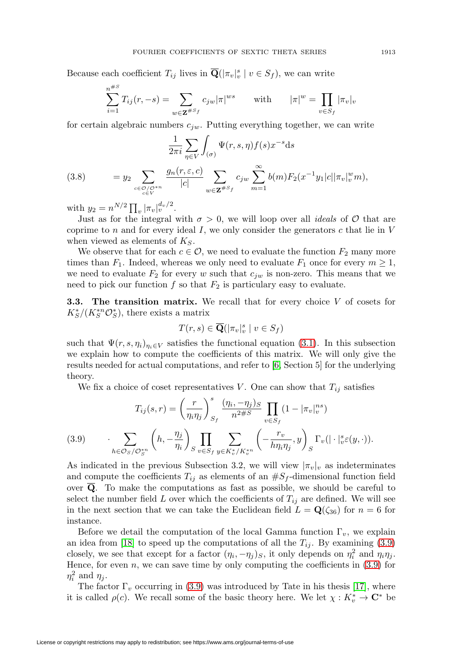Because each coefficient  $T_{ij}$  lives in  $\overline{\mathbf{Q}}(|\pi_v|^s_v \mid v \in S_f)$ , we can write

$$
\sum_{i=1}^{n^{\#S}} T_{ij}(r, -s) = \sum_{w \in \mathbf{Z}^{\#S_f}} c_{jw} |\pi|^{ws} \quad \text{with} \quad |\pi|^{w} = \prod_{v \in S_f} |\pi_v|_v
$$

for certain algebraic numbers  $c_{jw}$ . Putting everything together, we can write

<span id="page-12-1"></span>(3.8) 
$$
\frac{1}{2\pi i} \sum_{\eta \in V} \int_{(\sigma)} \Psi(r, s, \eta) f(s) x^{-s} ds
$$

$$
= y_2 \sum_{\substack{c \in \mathcal{O}/\mathcal{O}^{*n} \\ c \in V}} \frac{g_n(r, \varepsilon, c)}{|c|} \sum_{w \in \mathbf{Z}^{*S} f} c_{jw} \sum_{m=1}^{\infty} b(m) F_2(x^{-1} y_1 |c| |\pi_v|_v^w m),
$$

with  $y_2 = n^{N/2} \prod_v |\pi_v|_v^{d_v/2}$ .

Just as for the integral with  $\sigma > 0$ , we will loop over all *ideals* of O that are coprime to n and for every ideal I, we only consider the generators c that lie in  $V$ when viewed as elements of  $K_S$ .

We observe that for each  $c \in \mathcal{O}$ , we need to evaluate the function  $F_2$  many more times than  $F_1$ . Indeed, whereas we only need to evaluate  $F_1$  once for every  $m \geq 1$ , we need to evaluate  $F_2$  for every w such that  $c_{iw}$  is non-zero. This means that we need to pick our function  $f$  so that  $F_2$  is particulary easy to evaluate.

**3.3. The transition matrix.** We recall that for every choice V of cosets for  $K_S^*/(K_S^{*n}\mathcal{O}_S^*)$ , there exists a matrix

$$
T(r,s) \in \overline{\mathbf{Q}}(|\pi_v|_v^s \mid v \in S_f)
$$

such that  $\Psi(r, s, \eta_i)_{\eta_i \in V}$  satisfies the functional equation [\(3.1\)](#page-10-0). In this subsection we explain how to compute the coefficients of this matrix. We will only give the results needed for actual computations, and refer to [\[6,](#page-25-2) Section 5] for the underlying theory.

We fix a choice of coset representatives V. One can show that  $T_{ij}$  satisfies

(3.9) 
$$
T_{ij}(s,r) = \left(\frac{r}{\eta_i \eta_j}\right)_{S_f}^s \frac{(\eta_i, -\eta_j)_S}{n^{2\#S}} \prod_{v \in S_f} (1 - |\pi_v|_v^{ns})
$$

$$
\cdot \sum_{h \in \mathcal{O}_S / \mathcal{O}_S^{*n}} \left(h, -\frac{\eta_j}{\eta_i}\right)_S \prod_{v \in S_f} \sum_{y \in K_v^* / K_v^{*n}} \left(-\frac{r_v}{h \eta_i \eta_j}, y\right)_S \Gamma_v(|\cdot|_v^s \varepsilon(y, \cdot)).
$$

<span id="page-12-0"></span>As indicated in the previous Subsection 3.2, we will view  $|\pi_v|_v$  as indeterminates and compute the coefficients  $T_{ij}$  as elements of an  $\#S_f$ -dimensional function field over  $\overline{Q}$ . To make the computations as fast as possible, we should be careful to select the number field L over which the coefficients of  $T_{ij}$  are defined. We will see in the next section that we can take the Euclidean field  $L = \mathbf{Q}(\zeta_{36})$  for  $n = 6$  for instance.

Before we detail the computation of the local Gamma function  $\Gamma_v$ , we explain an idea from [\[18\]](#page-26-9) to speed up the computations of all the  $T_{ij}$ . By examining [\(3.9\)](#page-12-0) closely, we see that except for a factor  $(\eta_i, -\eta_j)_S$ , it only depends on  $\eta_i^2$  and  $\eta_i\eta_j$ . Hence, for even  $n$ , we can save time by only computing the coefficients in  $(3.9)$  for  $\eta_i^2$  and  $\eta_j$ .

The factor  $\Gamma_v$  occurring in [\(3.9\)](#page-12-0) was introduced by Tate in his thesis [\[17\]](#page-26-10), where it is called  $\rho(c)$ . We recall some of the basic theory here. We let  $\chi: K_v^* \to \mathbb{C}^*$  be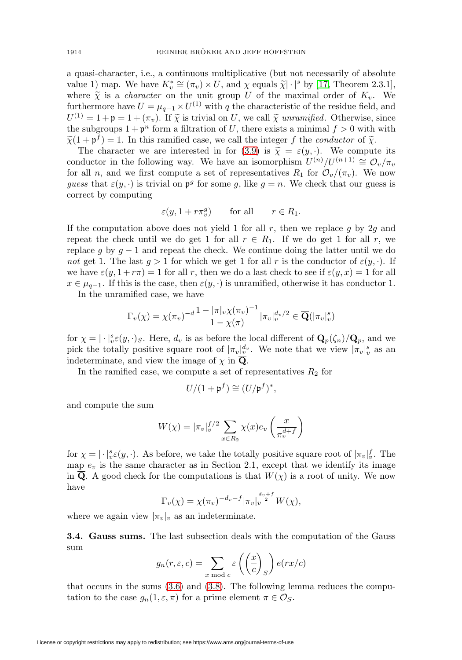a quasi-character, i.e., a continuous multiplicative (but not necessarily of absolute value 1) map. We have  $K_v^* \cong (\pi_v) \times U$ , and  $\chi$  equals  $\tilde{\chi} | \cdot |^s$  by [\[17,](#page-26-10) Theorem 2.3.1], where  $\tilde{\chi}$  is a *character* on the unit group U of the maximal order of  $K_v$ . We furthermore have  $U = \mu_{q-1} \times U^{(1)}$  with q the characteristic of the residue field, and  $U^{(1)} = 1 + \mathfrak{p} = 1 + (\pi_v)$ . If  $\tilde{\chi}$  is trivial on U, we call  $\tilde{\chi}$  unramified. Otherwise, since the subgroups  $1 + p^n$  form a filtration of U, there exists a minimal  $f > 0$  with with  $\widetilde{\chi}(1 + \mathfrak{p}^f) = 1$ . In this ramified case, we call the integer f the *conductor* of  $\widetilde{\chi}$ .

The character we are interested in for [\(3.9\)](#page-12-0) is  $\tilde{\chi} = \varepsilon(y, \cdot)$ . We compute its conductor in the following way. We have an isomorphism  $U^{(n)}/U^{(n+1)} \cong \mathcal{O}_{v}/\pi_{v}$ for all n, and we first compute a set of representatives  $R_1$  for  $\mathcal{O}_v/(\pi_v)$ . We now guess that  $\varepsilon(y, \cdot)$  is trivial on  $\mathfrak{p}^g$  for some g, like  $g = n$ . We check that our guess is correct by computing

$$
\varepsilon(y, 1 + r\pi_v^g)
$$
 for all  $r \in R_1$ .

If the computation above does not yield 1 for all  $r$ , then we replace g by 2g and repeat the check until we do get 1 for all  $r \in R_1$ . If we do get 1 for all r, we replace g by  $g - 1$  and repeat the check. We continue doing the latter until we do not get 1. The last  $g > 1$  for which we get 1 for all r is the conductor of  $\varepsilon(y, \cdot)$ . If we have  $\varepsilon(y, 1 + r\pi) = 1$  for all r, then we do a last check to see if  $\varepsilon(y, x) = 1$  for all  $x \in \mu_{q-1}$ . If this is the case, then  $\varepsilon(y, \cdot)$  is unramified, otherwise it has conductor 1.

In the unramified case, we have

$$
\Gamma_v(\chi) = \chi(\pi_v)^{-d} \frac{1 - |\pi|_v \chi(\pi_v)^{-1}}{1 - \chi(\pi)} |\pi_v|_v^{d_v/2} \in \overline{\mathbf{Q}}(|\pi_v|_v^s)
$$

for  $\chi = |\cdot|_{v}^{s} \varepsilon(y, \cdot)_{S}$ . Here,  $d_{v}$  is as before the local different of  $\mathbf{Q}_{p}(\zeta_{n})/\mathbf{Q}_{p}$ , and we pick the totally positive square root of  $|\pi_v|_v^{d_v}$ . We note that we view  $|\pi_v|_v^s$  as an indeterminate, and view the image of  $\chi$  in  $\overline{\mathbf{Q}}$ .

In the ramified case, we compute a set of representatives  $R_2$  for

$$
U/(1+\mathfrak{p}^f)\cong (U/\mathfrak{p}^f)^*,
$$

and compute the sum

$$
W(\chi) = |\pi_v|_v^{f/2} \sum_{x \in R_2} \chi(x) e_v \left(\frac{x}{\pi_v^{d+f}}\right)
$$

for  $\chi = |\cdot|^s_v \varepsilon(y, \cdot)$ . As before, we take the totally positive square root of  $|\pi_v|^f_v$ . The map  $e_v$  is the same character as in Section 2.1, except that we identify its image in  $\overline{Q}$ . A good check for the computations is that  $W(\chi)$  is a root of unity. We now have  $\pm$ 

$$
\Gamma_v(\chi) = \chi(\pi_v)^{-d_v - f} |\pi_v|_v^{\frac{d_v + f}{2}} W(\chi),
$$

where we again view  $|\pi_v|_v$  as an indeterminate.

**3.4. Gauss sums.** The last subsection deals with the computation of the Gauss sum

$$
g_n(r, \varepsilon, c) = \sum_{x \bmod c} \varepsilon \left( \left( \frac{x}{c} \right)_S \right) e(rx/c)
$$

that occurs in the sums [\(3.6\)](#page-11-0) and [\(3.8\)](#page-12-1). The following lemma reduces the computation to the case  $g_n(1, \varepsilon, \pi)$  for a prime element  $\pi \in \mathcal{O}_S$ .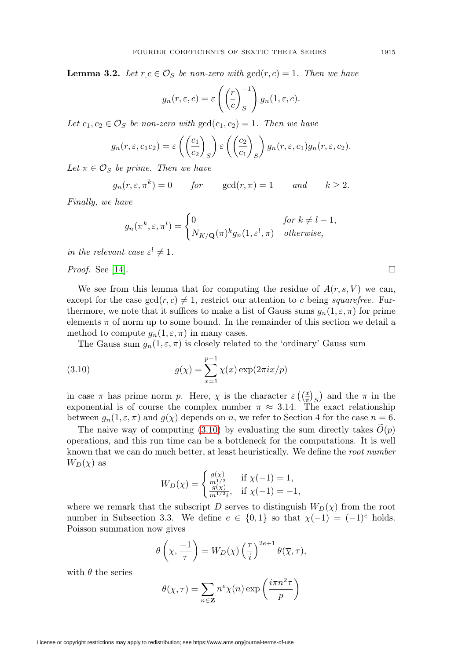**Lemma 3.2.** Let  $r c \in \mathcal{O}_S$  be non-zero with  $gcd(r, c) = 1$ . Then we have

$$
g_n(r,\varepsilon,c) = \varepsilon \left( \left( \frac{r}{c} \right)^{-1} \right) g_n(1,\varepsilon,c).
$$

Let  $c_1, c_2 \in \mathcal{O}_S$  be non-zero with  $gcd(c_1, c_2)=1$ . Then we have

$$
g_n(r, \varepsilon, c_1 c_2) = \varepsilon \left( \left( \frac{c_1}{c_2} \right)_S \right) \varepsilon \left( \left( \frac{c_2}{c_1} \right)_S \right) g_n(r, \varepsilon, c_1) g_n(r, \varepsilon, c_2).
$$

Let  $\pi \in \mathcal{O}_S$  be prime. Then we have

$$
g_n(r, \varepsilon, \pi^k) = 0
$$
 for  $gcd(r, \pi) = 1$  and  $k \ge 2$ .

Finally, we have

$$
g_n(\pi^k, \varepsilon, \pi^l) = \begin{cases} 0 & \text{for } k \neq l-1, \\ N_{K/\mathbf{Q}}(\pi)^k g_n(1, \varepsilon^l, \pi) & \text{otherwise,} \end{cases}
$$

in the relevant case  $\varepsilon^l \neq 1$ .

*Proof.* See [\[14\]](#page-26-11).

We see from this lemma that for computing the residue of  $A(r, s, V)$  we can, except for the case  $gcd(r, c) \neq 1$ , restrict our attention to c being squarefree. Furthermore, we note that it suffices to make a list of Gauss sums  $g_n(1, \varepsilon, \pi)$  for prime elements  $\pi$  of norm up to some bound. In the remainder of this section we detail a method to compute  $g_n(1, \varepsilon, \pi)$  in many cases.

The Gauss sum  $g_n(1, \varepsilon, \pi)$  is closely related to the 'ordinary' Gauss sum

<span id="page-14-0"></span>(3.10) 
$$
g(\chi) = \sum_{x=1}^{p-1} \chi(x) \exp(2\pi i x/p)
$$

in case  $\pi$  has prime norm p. Here,  $\chi$  is the character  $\varepsilon \left(\frac{x}{\pi}\right)_{S}$  and the  $\pi$  in the exponential is of course the complex number  $\pi \approx 3.14$ . The exact relationship between  $g_n(1, \varepsilon, \pi)$  and  $g(\chi)$  depends on n, we refer to Section 4 for the case  $n = 6$ .

The naive way of computing  $(3.10)$  by evaluating the sum directly takes  $O(p)$ operations, and this run time can be a bottleneck for the computations. It is well known that we can do much better, at least heuristically. We define the root number  $W_D(\chi)$  as

$$
W_D(\chi) = \begin{cases} \frac{g(\chi)}{m^{1/2}} & \text{if } \chi(-1) = 1, \\ \frac{g(\chi)}{m^{1/2}i}, & \text{if } \chi(-1) = -1, \end{cases}
$$

where we remark that the subscript D serves to distinguish  $W_D(\chi)$  from the root number in Subsection 3.3. We define  $e \in \{0,1\}$  so that  $\chi(-1) = (-1)^e$  holds. Poisson summation now gives

$$
\theta\left(\chi, \frac{-1}{\tau}\right) = W_D(\chi) \left(\frac{\tau}{i}\right)^{2e+1} \theta(\overline{\chi}, \tau),
$$

with  $\theta$  the series

$$
\theta(\chi,\tau) = \sum_{n \in \mathbf{Z}} n^e \chi(n) \exp\left(\frac{i\pi n^2 \tau}{p}\right)
$$

 $\Box$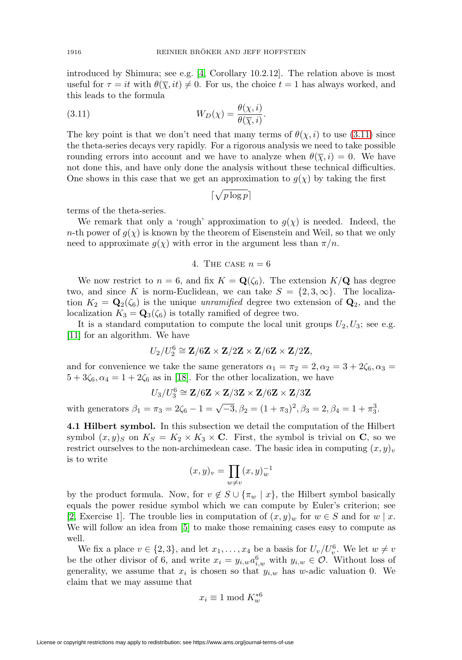introduced by Shimura; see e.g. [\[4,](#page-25-4) Corollary 10.2.12]. The relation above is most useful for  $\tau = it$  with  $\theta(\overline{\chi}, it) \neq 0$ . For us, the choice  $t = 1$  has always worked, and this leads to the formula

<span id="page-15-0"></span>(3.11) 
$$
W_D(\chi) = \frac{\theta(\chi, i)}{\theta(\overline{\chi}, i)}.
$$

The key point is that we don't need that many terms of  $\theta(\chi, i)$  to use [\(3.11\)](#page-15-0) since the theta-series decays very rapidly. For a rigorous analysis we need to take possible rounding errors into account and we have to analyze when  $\theta(\bar{\chi}, i) = 0$ . We have not done this, and have only done the analysis without these technical difficulties. One shows in this case that we get an approximation to  $g(\chi)$  by taking the first

$$
\lceil \sqrt{p \log p} \rceil
$$

terms of the theta-series.

We remark that only a 'rough' approximation to  $g(\chi)$  is needed. Indeed, the n-th power of  $g(\chi)$  is known by the theorem of Eisenstein and Weil, so that we only need to approximate  $g(\chi)$  with error in the argument less than  $\pi/n$ .

## 4. THE CASE  $n = 6$

We now restrict to  $n = 6$ , and fix  $K = \mathbf{Q}(\zeta_6)$ . The extension  $K/\mathbf{Q}$  has degree two, and since K is norm-Euclidean, we can take  $S = \{2, 3, \infty\}$ . The localization  $K_2 = \mathbf{Q}_2(\zeta_6)$  is the unique *unramified* degree two extension of  $\mathbf{Q}_2$ , and the localization  $K_3 = \mathbf{Q}_3(\zeta_6)$  is totally ramified of degree two.

It is a standard computation to compute the local unit groups  $U_2, U_3$ ; see e.g. [\[11\]](#page-26-8) for an algorithm. We have

$$
U_2/U_2^6\cong {\bf Z}/6{\bf Z}\times {\bf Z}/2{\bf Z}\times {\bf Z}/6{\bf Z}\times {\bf Z}/2{\bf Z},
$$

and for convenience we take the same generators  $\alpha_1 = \pi_2 = 2, \alpha_2 = 3 + 2\zeta_6, \alpha_3 =$  $5+3\zeta_6$ ,  $\alpha_4 = 1+2\zeta_6$  as in [\[18\]](#page-26-9). For the other localization, we have

$$
U_3/U_3^6\cong{\bf Z}/6{\bf Z}\times{\bf Z}/3{\bf Z}\times{\bf Z}/6{\bf Z}\times{\bf Z}/3{\bf Z}
$$

with generators  $\beta_1 = \pi_3 = 2\zeta_6 - 1 = \sqrt{-3}, \beta_2 = (1 + \pi_3)^2, \beta_3 = 2, \beta_4 = 1 + \pi_3^3$ .

**4.1 Hilbert symbol.** In this subsection we detail the computation of the Hilbert symbol  $(x, y)_S$  on  $K_S = K_2 \times K_3 \times \mathbb{C}$ . First, the symbol is trivial on **C**, so we restrict ourselves to the non-archimedean case. The basic idea in computing  $(x, y)_v$ is to write

$$
(x,y)_v = \prod_{w \neq v} (x,y)_w^{-1}
$$

by the product formula. Now, for  $v \notin S \cup {\lbrace \pi_w \mid x \rbrace}$ , the Hilbert symbol basically equals the power residue symbol which we can compute by Euler's criterion; see [\[2,](#page-25-5) Exercise 1]. The trouble lies in computation of  $(x, y)_w$  for  $w \in S$  and for  $w \mid x$ . We will follow an idea from [\[5\]](#page-25-3) to make those remaining cases easy to compute as well.

We fix a place  $v \in \{2,3\}$ , and let  $x_1, \ldots, x_4$  be a basis for  $U_v/U_v^6$ . We let  $w \neq v$ be the other divisor of 6, and write  $x_i = y_{i,w} a_{i,w}^6$  with  $y_{i,w} \in \mathcal{O}$ . Without loss of generality, we assume that  $x_i$  is chosen so that  $y_{i,w}$  has w-adic valuation 0. We claim that we may assume that

$$
x_i \equiv 1 \bmod K_w^{*6}
$$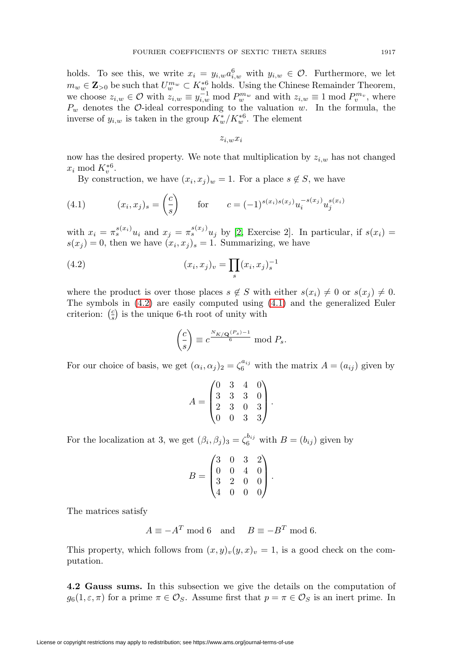holds. To see this, we write  $x_i = y_{i,w} a_{i,w}^6$  with  $y_{i,w} \in \mathcal{O}$ . Furthermore, we let  $m_w \in \mathbf{Z}_{>0}$  be such that  $U_w^{m_w} \subset K_w^{*6}$  holds. Using the Chinese Remainder Theorem, we choose  $z_{i,w} \in \mathcal{O}$  with  $z_{i,w} \equiv y_{i,w}^{-1} \mod P_w^{m_w}$  and with  $z_{i,w} \equiv 1 \mod P_v^{m_v}$ , where  $P_w$  denotes the  $\mathcal{O}$ -ideal corresponding to the valuation w. In the formula, the inverse of  $y_{i,w}$  is taken in the group  $K_w^*/K_w^{*6}$ . The element

 $z_{i,w}x_i$ 

now has the desired property. We note that multiplication by  $z_{i,w}$  has not changed  $x_i \bmod K_v^{*6}.$ 

By construction, we have  $(x_i, x_j)_w = 1$ . For a place  $s \notin S$ , we have

<span id="page-16-1"></span>(4.1) 
$$
(x_i, x_j)_s = \left(\frac{c}{s}\right) \quad \text{for} \quad c = (-1)^{s(x_i)s(x_j)} u_i^{-s(x_j)} u_j^{s(x_i)}
$$

with  $x_i = \pi_s^{s(x_i)} u_i$  and  $x_j = \pi_s^{s(x_j)} u_j$  by [\[2,](#page-25-5) Exercise 2]. In particular, if  $s(x_i)$  =  $s(x_j) = 0$ , then we have  $(x_i, x_j)_s = 1$ . Summarizing, we have

<span id="page-16-0"></span>(4.2) 
$$
(x_i, x_j)_v = \prod_s (x_i, x_j)_s^{-1}
$$

where the product is over those places  $s \notin S$  with either  $s(x_i) \neq 0$  or  $s(x_i) \neq 0$ . The symbols in [\(4.2\)](#page-16-0) are easily computed using [\(4.1\)](#page-16-1) and the generalized Euler criterion:  $\left(\frac{c}{s}\right)$  is the unique 6-th root of unity with

$$
\left(\frac{c}{s}\right) \equiv c^{\frac{N_{K/\mathbf{Q}}(P_s)-1}{6}} \mod P_s.
$$

For our choice of basis, we get  $(\alpha_i, \alpha_j)_2 = \zeta_6^{a_{ij}}$  with the matrix  $A = (a_{ij})$  given by

$$
A = \begin{pmatrix} 0 & 3 & 4 & 0 \\ 3 & 3 & 3 & 0 \\ 2 & 3 & 0 & 3 \\ 0 & 0 & 3 & 3 \end{pmatrix}.
$$

For the localization at 3, we get  $(\beta_i, \beta_j)_3 = \zeta_6^{b_{ij}}$  with  $B = (b_{ij})$  given by

$$
B = \begin{pmatrix} 3 & 0 & 3 & 2 \\ 0 & 0 & 4 & 0 \\ 3 & 2 & 0 & 0 \\ 4 & 0 & 0 & 0 \end{pmatrix}.
$$

The matrices satisfy

$$
A \equiv -A^T \mod 6 \quad \text{and} \quad B \equiv -B^T \mod 6.
$$

This property, which follows from  $(x, y)_v(y, x)_v = 1$ , is a good check on the computation.

**4.2 Gauss sums.** In this subsection we give the details on the computation of  $g_6(1,\varepsilon,\pi)$  for a prime  $\pi \in \mathcal{O}_S$ . Assume first that  $p = \pi \in \mathcal{O}_S$  is an inert prime. In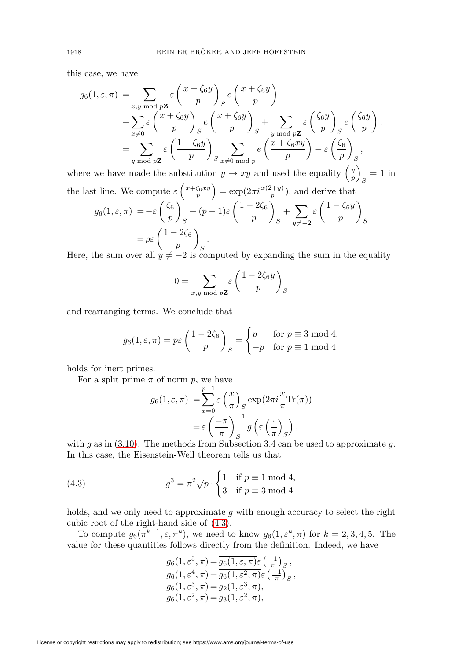this case, we have

$$
g_6(1, \varepsilon, \pi) = \sum_{x, y \bmod p\mathbf{Z}} \varepsilon \left(\frac{x + \zeta_6 y}{p}\right)_S e\left(\frac{x + \zeta_6 y}{p}\right)
$$
  
= 
$$
\sum_{x \neq 0} \varepsilon \left(\frac{x + \zeta_6 y}{p}\right)_S e\left(\frac{x + \zeta_6 y}{p}\right)_S + \sum_{y \bmod p\mathbf{Z}} \varepsilon \left(\frac{\zeta_6 y}{p}\right)_S e\left(\frac{\zeta_6 y}{p}\right).
$$
  
= 
$$
\sum_{y \bmod p\mathbf{Z}} \varepsilon \left(\frac{1 + \zeta_6 y}{p}\right)_S \sum_{x \neq 0 \bmod p} e\left(\frac{x + \zeta_6 xy}{p}\right) - \varepsilon \left(\frac{\zeta_6}{p}\right)_S,
$$

where we have made the substitution  $y \to xy$  and used the equality  $\left(\frac{y}{p}\right)$  $s = 1$  in the last line. We compute  $\varepsilon \left( \frac{x + \zeta_6 xy}{p} \right) = \exp(2\pi i \frac{x(2+y)}{p}),$  and derive that

$$
g_6(1, \varepsilon, \pi) = -\varepsilon \left(\frac{\zeta_6}{p}\right)_S + (p - 1)\varepsilon \left(\frac{1 - 2\zeta_6}{p}\right)_S + \sum_{y \neq -2} \varepsilon \left(\frac{1 - \zeta_6 y}{p}\right)_S
$$
  
=  $p\varepsilon \left(\frac{1 - 2\zeta_6}{p}\right)_S$ .

Here, the sum over all  $y \neq -2$  is computed by expanding the sum in the equality

$$
0 = \sum_{x,y \bmod p\mathbf{Z}} \varepsilon \left( \frac{1 - 2\zeta_6 y}{p} \right)_S
$$

and rearranging terms. We conclude that

$$
g_6(1, \varepsilon, \pi) = p\varepsilon \left(\frac{1 - 2\zeta_6}{p}\right)_S = \begin{cases} p & \text{for } p \equiv 3 \bmod 4, \\ -p & \text{for } p \equiv 1 \bmod 4 \end{cases}
$$

holds for inert primes.

For a split prime  $\pi$  of norm p, we have

$$
g_6(1, \varepsilon, \pi) = \sum_{x=0}^{p-1} \varepsilon \left(\frac{x}{\pi}\right)_S \exp(2\pi i \frac{x}{\pi} \text{Tr}(\pi))
$$

$$
= \varepsilon \left(\frac{-\overline{\pi}}{\pi}\right)_S^{-1} g\left(\varepsilon \left(\frac{\cdot}{\pi}\right)_S\right),
$$

with g as in [\(3.10\)](#page-14-0). The methods from Subsection 3.4 can be used to approximate g. In this case, the Eisenstein-Weil theorem tells us that

<span id="page-17-0"></span>(4.3) 
$$
g^3 = \pi^2 \sqrt{p} \cdot \begin{cases} 1 & \text{if } p \equiv 1 \bmod 4, \\ 3 & \text{if } p \equiv 3 \bmod 4 \end{cases}
$$

holds, and we only need to approximate g with enough accuracy to select the right cubic root of the right-hand side of [\(4.3\)](#page-17-0).

To compute  $g_6(\pi^{k-1}, \varepsilon, \pi^k)$ , we need to know  $g_6(1, \varepsilon^k, \pi)$  for  $k = 2, 3, 4, 5$ . The value for these quantities follows directly from the definition. Indeed, we have

$$
g_6(1, \varepsilon^5, \pi) = \overline{g_6(1, \varepsilon, \pi)\varepsilon} \left(\frac{-1}{\pi}\right)_S, g_6(1, \varepsilon^4, \pi) = \overline{g_6(1, \varepsilon^2, \pi)\varepsilon} \left(\frac{-1}{\pi}\right)_S, g_6(1, \varepsilon^3, \pi) = g_2(1, \varepsilon^3, \pi), g_6(1, \varepsilon^2, \pi) = g_3(1, \varepsilon^2, \pi),
$$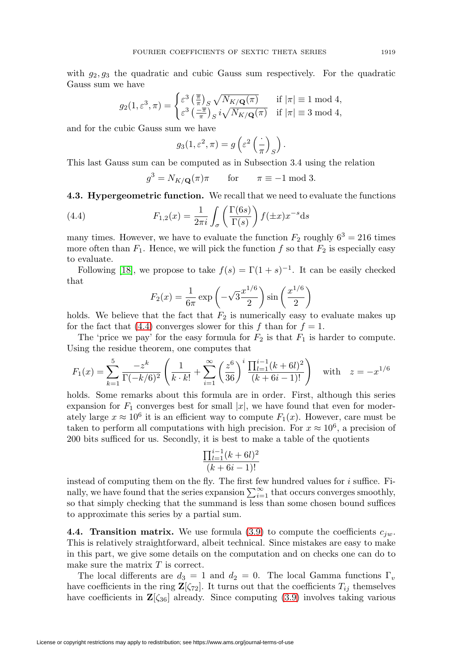with  $g_2, g_3$  the quadratic and cubic Gauss sum respectively. For the quadratic Gauss sum we have

$$
g_2(1,\varepsilon^3,\pi) = \begin{cases} \varepsilon^3 \left(\frac{\overline{\pi}}{\pi}\right)_S \sqrt{N_{K/\mathbf{Q}}(\pi)} & \text{if } |\pi| \equiv 1 \text{ mod } 4, \\ \varepsilon^3 \left(\frac{-\overline{\pi}}{\pi}\right)_S i \sqrt{N_{K/\mathbf{Q}}(\pi)} & \text{if } |\pi| \equiv 3 \text{ mod } 4, \end{cases}
$$

and for the cubic Gauss sum we have

$$
g_3(1,\varepsilon^2,\pi) = g\left(\varepsilon^2 \left(\frac{\cdot}{\pi}\right)_S\right).
$$

This last Gauss sum can be computed as in Subsection 3.4 using the relation

$$
g^3 = N_{K/\mathbf{Q}}(\pi)\pi \quad \text{for} \quad \pi \equiv -1 \bmod 3.
$$

**4.3. Hypergeometric function.** We recall that we need to evaluate the functions

<span id="page-18-0"></span>(4.4) 
$$
F_{1,2}(x) = \frac{1}{2\pi i} \int_{\sigma} \left( \frac{\Gamma(6s)}{\Gamma(s)} \right) f(\pm x) x^{-s} ds
$$

many times. However, we have to evaluate the function  $F_2$  roughly  $6^3 = 216$  times more often than  $F_1$ . Hence, we will pick the function f so that  $F_2$  is especially easy to evaluate.

Following [\[18\]](#page-26-9), we propose to take  $f(s) = \Gamma(1+s)^{-1}$ . It can be easily checked that

$$
F_2(x) = \frac{1}{6\pi} \exp\left(-\sqrt{3}\frac{x^{1/6}}{2}\right) \sin\left(\frac{x^{1/6}}{2}\right)
$$

holds. We believe that the fact that  $F_2$  is numerically easy to evaluate makes up for the fact that [\(4.4\)](#page-18-0) converges slower for this f than for  $f = 1$ .

The 'price we pay' for the easy formula for  $F_2$  is that  $F_1$  is harder to compute. Using the residue theorem, one computes that

$$
F_1(x) = \sum_{k=1}^{5} \frac{-z^k}{\Gamma(-k/6)^2} \left( \frac{1}{k \cdot k!} + \sum_{i=1}^{\infty} \left( \frac{z^6}{36} \right)^i \frac{\prod_{l=1}^{i-1} (k+6l)^2}{(k+6i-1)!} \right) \text{ with } z = -x^{1/6}
$$

holds. Some remarks about this formula are in order. First, although this series expansion for  $F_1$  converges best for small |x|, we have found that even for moderately large  $x \approx 10^6$  it is an efficient way to compute  $F_1(x)$ . However, care must be taken to perform all computations with high precision. For  $x \approx 10^6$ , a precision of 200 bits sufficed for us. Secondly, it is best to make a table of the quotients

$$
\frac{\prod_{l=1}^{i-1}(k+6l)^2}{(k+6i-1)!}
$$

instead of computing them on the fly. The first few hundred values for  $i$  suffice. Finally, we have found that the series expansion  $\sum_{i=1}^{\infty}$  that occurs converges smoothly, so that simply checking that the summand is less than some chosen bound suffices to approximate this series by a partial sum.

**4.4. Transition matrix.** We use formula [\(3.9\)](#page-12-0) to compute the coefficients  $c_{iw}$ . This is relatively straightforward, albeit technical. Since mistakes are easy to make in this part, we give some details on the computation and on checks one can do to make sure the matrix  $T$  is correct.

The local differents are  $d_3 = 1$  and  $d_2 = 0$ . The local Gamma functions  $\Gamma_v$ have coefficients in the ring  $\mathbf{Z}[\zeta_{72}]$ . It turns out that the coefficients  $T_{ij}$  themselves have coefficients in  $\mathbf{Z}[\zeta_{36}]$  already. Since computing [\(3.9\)](#page-12-0) involves taking various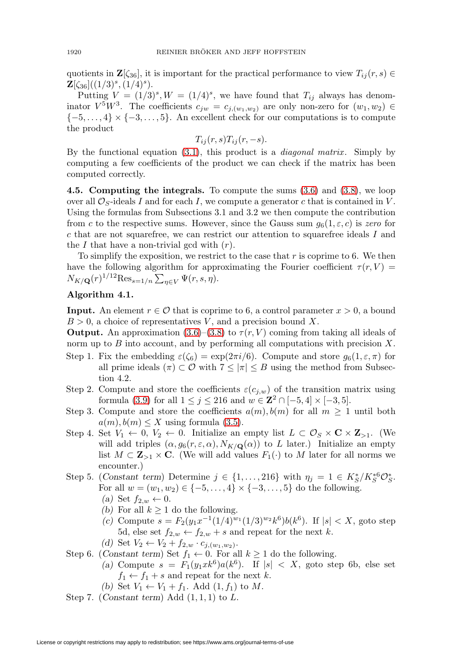quotients in  $\mathbf{Z}[\zeta_{36}]$ , it is important for the practical performance to view  $T_{ij}(r, s) \in$  $\mathbf{Z}[\zeta_{36}]((1/3)^s,(1/4)^s).$ 

Putting  $V = (1/3)^s$ ,  $W = (1/4)^s$ , we have found that  $T_{ij}$  always has denominator  $V^5W^3$ . The coefficients  $c_{jw} = c_{j,(w_1,w_2)}$  are only non-zero for  $(w_1, w_2) \in$  ${-5,\ldots,4} \times {-3,\ldots,5}$ . An excellent check for our computations is to compute the product

$$
T_{ij}(r,s)T_{ij}(r,-s).
$$

By the functional equation  $(3.1)$ , this product is a *diagonal matrix*. Simply by computing a few coefficients of the product we can check if the matrix has been computed correctly.

**4.5. Computing the integrals.** To compute the sums [\(3.6\)](#page-11-0) and [\(3.8\)](#page-12-1), we loop over all  $\mathcal{O}_S$ -ideals I and for each I, we compute a generator c that is contained in V. Using the formulas from Subsections 3.1 and 3.2 we then compute the contribution from c to the respective sums. However, since the Gauss sum  $g_6(1, \varepsilon, c)$  is zero for c that are not squarefree, we can restrict our attention to squarefree ideals I and the I that have a non-trivial gcd with  $(r)$ .

To simplify the exposition, we restrict to the case that  $r$  is coprime to 6. We then have the following algorithm for approximating the Fourier coefficient  $\tau(r, V)$  =  $N_{K/\mathbf{Q}}(r)^{1/12} \text{Res}_{s=1/n} \sum_{\eta \in V} \Psi(r, s, \eta).$ 

# **Algorithm 4.1.**

**Input.** An element  $r \in \mathcal{O}$  that is coprime to 6, a control parameter  $x > 0$ , a bound  $B > 0$ , a choice of representatives V, and a precision bound X.

**Output.** An approximation [\(3.6\)](#page-11-0)–[\(3.8\)](#page-12-1) to  $\tau(r, V)$  coming from taking all ideals of norm up to  $B$  into account, and by performing all computations with precision  $X$ .

- Step 1. Fix the embedding  $\varepsilon(\zeta_6) = \exp(2\pi i/6)$ . Compute and store  $g_6(1, \varepsilon, \pi)$  for all prime ideals  $(\pi) \subset \mathcal{O}$  with  $7 \leq |\pi| \leq B$  using the method from Subsection 4.2.
- Step 2. Compute and store the coefficients  $\varepsilon(c_{i,w})$  of the transition matrix using formula [\(3.9\)](#page-12-0) for all  $1 \le j \le 216$  and  $w \in \mathbb{Z}^2 \cap [-5, 4] \times [-3, 5]$ .
- Step 3. Compute and store the coefficients  $a(m), b(m)$  for all  $m \geq 1$  until both  $a(m), b(m) \leq X$  using formula [\(3.5\)](#page-11-1).
- Step 4. Set  $V_1 \leftarrow 0$ ,  $V_2 \leftarrow 0$ . Initialize an empty list  $L \subset \mathcal{O}_S \times \mathbf{C} \times \mathbf{Z}_{>1}$ . (We will add triples  $(\alpha, g_6(r, \varepsilon, \alpha), N_{K/\mathbf{Q}}(\alpha))$  to L later.) Initialize an empty list  $M \subset \mathbb{Z}_{\geq 1} \times \mathbb{C}$ . (We will add values  $F_1(\cdot)$  to M later for all norms we encounter.)
- Step 5. (*Constant term*) Determine  $j \in \{1, ..., 216\}$  with  $\eta_j = 1 \in K_S^*/K_S^{*6} \mathcal{O}_S^*$ . For all  $w = (w_1, w_2) \in \{-5, \ldots, 4\} \times \{-3, \ldots, 5\}$  do the following.  $(a)$  Set  $f_{2,w} \leftarrow 0$ .
	- *(b)* For all  $k \geq 1$  do the following.
	- *(c)* Compute  $s = F_2(y_1 x^{-1}(1/4)^{w_1}(1/3)^{w_2} k^6) b(k^6)$ . If  $|s| < X$ , goto step 5d, else set  $f_{2,w} \leftarrow f_{2,w} + s$  and repeat for the next k.
	- *(d)* Set  $V_2 \leftarrow V_2 + f_{2,w} \cdot c_{j,(w_1,w_2)}$ .
- Step 6. (*Constant term*) Set  $f_1 \leftarrow 0$ . For all  $k \ge 1$  do the following.
	- (a) Compute  $s = F_1(y_1 x k^6) a(k^6)$ . If  $|s| < X$ , goto step 6b, else set  $f_1 \leftarrow f_1 + s$  and repeat for the next k.
	- (b) Set  $V_1 \leftarrow V_1 + f_1$ . Add  $(1, f_1)$  to M.
- Step 7. (*Constant term*) Add (1, 1, 1) to L.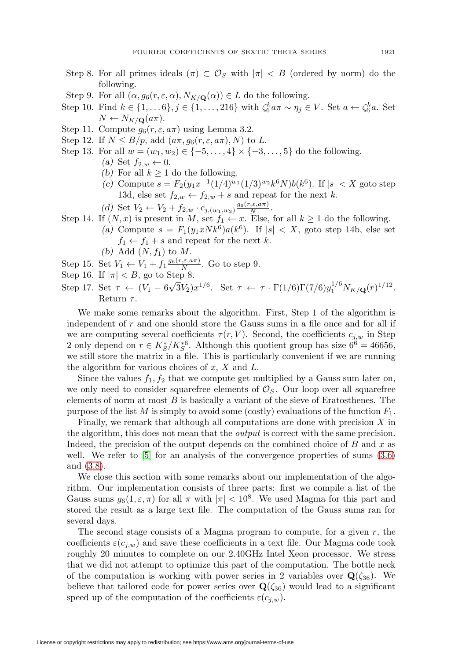- Step 8. For all primes ideals  $(\pi) \subset \mathcal{O}_S$  with  $|\pi| < B$  (ordered by norm) do the following.
- Step 9. For all  $(\alpha, g_6(r, \varepsilon, \alpha), N_{K/\mathbf{Q}}(\alpha)) \in L$  do the following.
- Step 10. Find  $k \in \{1, \ldots 6\}, j \in \{1, \ldots, 216\}$  with  $\zeta_6^k a \pi \sim \eta_j \in V$ . Set  $a \leftarrow \zeta_6^k a$ . Set  $N \leftarrow N_{K/\mathbf{Q}}(a\pi).$
- Step 11. Compute  $g_6(r, \varepsilon, a\pi)$  using Lemma 3.2.
- Step 12. If  $N \leq B/p$ , add  $(a\pi, g_6(r, \varepsilon, a\pi), N)$  to L.
- Step 13. For all  $w = (w_1, w_2) \in \{-5, \ldots, 4\} \times \{-3, \ldots, 5\}$  do the following.
	- $(a)$  Set  $f_{2,w} \leftarrow 0$ .
	- *(b)* For all  $k \geq 1$  do the following.
	- *(c)* Compute  $s = F_2(y_1 x^{-1}(1/4)^{w_1}(1/3)^{w_2} k^6 N) b(k^6)$ . If  $|s| < X$  goto step 13d, else set  $f_{2,w} \leftarrow f_{2,w} + s$  and repeat for the next k.
	- (d) Set  $V_2 \leftarrow V_2 + f_{2,w} \cdot c_{j,(w_1,w_2)} \frac{g_6(r,\varepsilon,a\pi)}{N}.$
- Step 14. If  $(N, x)$  is present in M, set  $f_1 \leftarrow x$ . Else, for all  $k \ge 1$  do the following. (a) Compute  $s = F_1(y_1xNk^6)a(k^6)$ . If  $|s| < X$ , goto step 14b, else set  $f_1 \leftarrow f_1 + s$  and repeat for the next k.
	- (b) Add  $(N, f_1)$  to M.
- Step 15. Set  $V_1 \leftarrow V_1 + f_1 \frac{g_6(r,\varepsilon,a\pi)}{N}$ . Go to step 9.
- Step 16. If  $|\pi| < B$ , go to Step 8.
- Step 17. Set  $\tau \leftarrow (V_1 6\sqrt{3}V_2)x^{1/6}$ . Set  $\tau \leftarrow \tau \cdot \Gamma(1/6)\Gamma(7/6)y_1^{1/6}N_{K/\mathbf{Q}}(r)^{1/12}$ . Return  $\tau$ .

We make some remarks about the algorithm. First, Step 1 of the algorithm is independent of  $r$  and one should store the Gauss sums in a file once and for all if we are computing several coefficients  $\tau(r, V)$ . Second, the coefficients  $c_{j,w}$  in Step 2 only depend on  $r \in K_S^*/K_S^{*6}$ . Although this quotient group has size  $6^6 = 46656$ , we still store the matrix in a file. This is particularly convenient if we are running the algorithm for various choices of  $x, X$  and  $L$ .

Since the values  $f_1, f_2$  that we compute get multiplied by a Gauss sum later on, we only need to consider squarefree elements of  $\mathcal{O}_S$ . Our loop over all squarefree elements of norm at most  $B$  is basically a variant of the sieve of Eratosthenes. The purpose of the list M is simply to avoid some (costly) evaluations of the function  $F_1$ .

Finally, we remark that although all computations are done with precision  $X$  in the algorithm, this does not mean that the *output* is correct with the same precision. Indeed, the precision of the output depends on the combined choice of  $B$  and  $x$  as well. We refer to [\[5\]](#page-25-3) for an analysis of the convergence properties of sums  $(3.6)$ and [\(3.8\)](#page-12-1).

We close this section with some remarks about our implementation of the algorithm. Our implementation consists of three parts: first we compile a list of the Gauss sums  $g_6(1, \varepsilon, \pi)$  for all  $\pi$  with  $|\pi| < 10^8$ . We used Magma for this part and stored the result as a large text file. The computation of the Gauss sums ran for several days.

The second stage consists of a Magma program to compute, for a given  $r$ , the coefficients  $\varepsilon(c_{j,w})$  and save these coefficients in a text file. Our Magma code took roughly 20 minutes to complete on our 2.40GHz Intel Xeon processor. We stress that we did not attempt to optimize this part of the computation. The bottle neck of the computation is working with power series in 2 variables over  $\mathbf{Q}(\zeta_{36})$ . We believe that tailored code for power series over  $\mathbf{Q}(\zeta_{36})$  would lead to a significant speed up of the computation of the coefficients  $\varepsilon(c_{i,w})$ .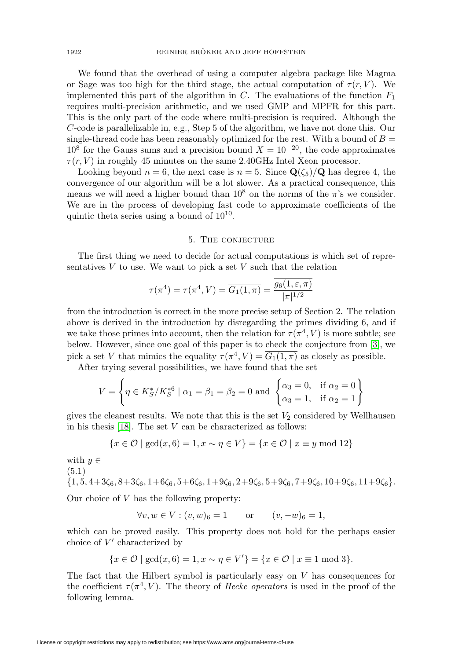We found that the overhead of using a computer algebra package like Magma or Sage was too high for the third stage, the actual computation of  $\tau(r, V)$ . We implemented this part of the algorithm in C. The evaluations of the function  $F_1$ requires multi-precision arithmetic, and we used GMP and MPFR for this part. This is the only part of the code where multi-precision is required. Although the C-code is parallelizable in, e.g., Step 5 of the algorithm, we have not done this. Our single-thread code has been reasonably optimized for the rest. With a bound of  $B =$  $10^8$  for the Gauss sums and a precision bound  $X = 10^{-20}$ , the code approximates  $\tau(r, V)$  in roughly 45 minutes on the same 2.40GHz Intel Xeon processor.

Looking beyond  $n = 6$ , the next case is  $n = 5$ . Since  $\mathbf{Q}(\zeta_5)/\mathbf{Q}$  has degree 4, the convergence of our algorithm will be a lot slower. As a practical consequence, this means we will need a higher bound than  $10^8$  on the norms of the  $\pi$ 's we consider. We are in the process of developing fast code to approximate coefficients of the quintic theta series using a bound of  $10^{10}$ .

#### 5. The conjecture

The first thing we need to decide for actual computations is which set of representatives  $V$  to use. We want to pick a set  $V$  such that the relation

$$
\tau(\pi^4) = \tau(\pi^4, V) = \overline{G_1(1, \pi)} = \frac{\overline{g_6(1, \varepsilon, \pi)}}{|\pi|^{1/2}}
$$

from the introduction is correct in the more precise setup of Section 2. The relation above is derived in the introduction by disregarding the primes dividing 6, and if we take those primes into account, then the relation for  $\tau(\pi^4, V)$  is more subtle; see below. However, since one goal of this paper is to check the conjecture from [\[3\]](#page-25-1), we pick a set V that mimics the equality  $\tau(\pi^4, V) = \overline{G_1(1,\pi)}$  as closely as possible.

After trying several possibilities, we have found that the set

$$
V = \left\{ \eta \in K_S^* / K_S^{*6} \mid \alpha_1 = \beta_1 = \beta_2 = 0 \text{ and } \begin{cases} \alpha_3 = 0, & \text{if } \alpha_2 = 0 \\ \alpha_3 = 1, & \text{if } \alpha_2 = 1 \end{cases} \right\}
$$

gives the cleanest results. We note that this is the set  $V_2$  considered by Wellhausen in his thesis  $[18]$ . The set V can be characterized as follows:

$$
\{x \in \mathcal{O} \mid \gcd(x, 6) = 1, x \sim \eta \in V\} = \{x \in \mathcal{O} \mid x \equiv y \mod 12\}
$$

with 
$$
y \in
$$
  
(5.1)  
{1, 5, 4+3 $\zeta_6$ , 8+3 $\zeta_6$ , 1+6 $\zeta_6$ , 5+6 $\zeta_6$ , 1+9 $\zeta_6$ , 2+9 $\zeta_6$ , 5+9 $\zeta_6$ , 7+9 $\zeta_6$ , 10+9 $\zeta_6$ , 11+9 $\zeta_6$ }.

Our choice of  $V$  has the following property:

$$
\forall v, w \in V : (v, w)_6 = 1
$$
 or  $(v, -w)_6 = 1$ ,

which can be proved easily. This property does not hold for the perhaps easier choice of  $V'$  characterized by

$$
\{x \in \mathcal{O} \mid \gcd(x, 6) = 1, x \sim \eta \in V'\} = \{x \in \mathcal{O} \mid x \equiv 1 \mod 3\}.
$$

The fact that the Hilbert symbol is particularly easy on  $V$  has consequences for the coefficient  $\tau(\pi^4, V)$ . The theory of *Hecke operators* is used in the proof of the following lemma.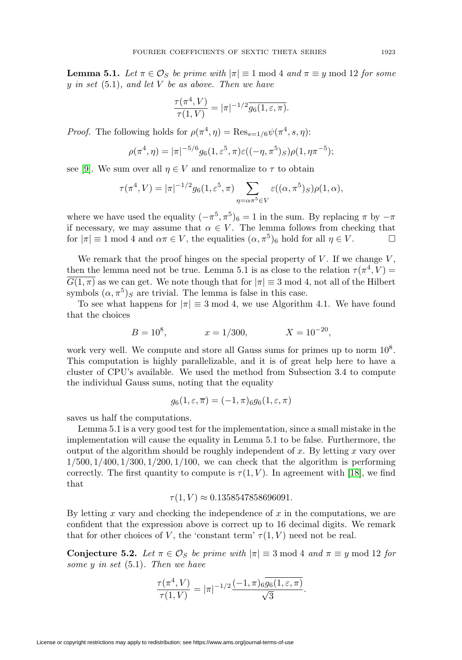**Lemma 5.1.** Let  $\pi \in \mathcal{O}_S$  be prime with  $|\pi| \equiv 1 \text{ mod } 4$  and  $\pi \equiv y \text{ mod } 12$  for some y in set  $(5.1)$ , and let V be as above. Then we have

$$
\frac{\tau(\pi^4, V)}{\tau(1, V)} = |\pi|^{-1/2} \overline{g_6(1, \varepsilon, \pi)}.
$$

*Proof.* The following holds for  $\rho(\pi^4, \eta) = \text{Res}_{s=1/6} \psi(\pi^4, s, \eta)$ :

$$
\rho(\pi^4, \eta) = |\pi|^{-5/6} g_6(1, \varepsilon^5, \pi) \varepsilon((-\eta, \pi^5)_S) \rho(1, \eta \pi^{-5});
$$

see [\[9\]](#page-26-4). We sum over all  $\eta \in V$  and renormalize to  $\tau$  to obtain

$$
\tau(\pi^4, V) = |\pi|^{-1/2} g_6(1, \varepsilon^5, \pi) \sum_{\eta = \alpha \pi^5 \in V} \varepsilon((\alpha, \pi^5)_S) \rho(1, \alpha),
$$

where we have used the equality  $(-\pi^5, \pi^5)_6 = 1$  in the sum. By replacing  $\pi$  by  $-\pi$ if necessary, we may assume that  $\alpha \in V$ . The lemma follows from checking that for  $|\pi| \equiv 1 \mod 4$  and  $\alpha \pi \in V$ , the equalities  $(\alpha, \pi^5)_6$  hold for all  $\eta \in V$ .

We remark that the proof hinges on the special property of  $V$ . If we change  $V$ , then the lemma need not be true. Lemma 5.1 is as close to the relation  $\tau(\pi^4, V)$  =  $G(1,\pi)$  as we can get. We note though that for  $|\pi| \equiv 3 \text{ mod } 4$ , not all of the Hilbert symbols  $(\alpha, \pi^5)$ <sub>S</sub> are trivial. The lemma is false in this case.

To see what happens for  $|\pi| \equiv 3 \mod 4$ , we use Algorithm 4.1. We have found that the choices

$$
B = 10^8, \qquad x = 1/300, \qquad X = 10^{-20},
$$

work very well. We compute and store all Gauss sums for primes up to norm  $10^8$ . This computation is highly parallelizable, and it is of great help here to have a cluster of CPU's available. We used the method from Subsection 3.4 to compute the individual Gauss sums, noting that the equality

$$
g_6(1, \varepsilon, \overline{\pi}) = (-1, \pi)_{6}g_6(1, \varepsilon, \pi)
$$

saves us half the computations.

Lemma 5.1 is a very good test for the implementation, since a small mistake in the implementation will cause the equality in Lemma 5.1 to be false. Furthermore, the output of the algorithm should be roughly independent of  $x$ . By letting  $x$  vary over  $1/500, 1/400, 1/300, 1/200, 1/100$ , we can check that the algorithm is performing correctly. The first quantity to compute is  $\tau(1, V)$ . In agreement with [\[18\]](#page-26-9), we find that

$$
\tau(1,V) \approx 0.1358547858696091.
$$

By letting x vary and checking the independence of  $x$  in the computations, we are confident that the expression above is correct up to 16 decimal digits. We remark that for other choices of V, the 'constant term'  $\tau(1, V)$  need not be real.

**Conjecture 5.2.** Let  $\pi \in \mathcal{O}_S$  be prime with  $|\pi| \equiv 3 \text{ mod } 4$  and  $\pi \equiv y \text{ mod } 12$  for some  $y$  in set  $(5.1)$ . Then we have

$$
\frac{\tau(\pi^4, V)}{\tau(1, V)} = |\pi|^{-1/2} \frac{(-1, \pi)_6 \overline{g_6(1, \varepsilon, \pi)}}{\sqrt{3}}.
$$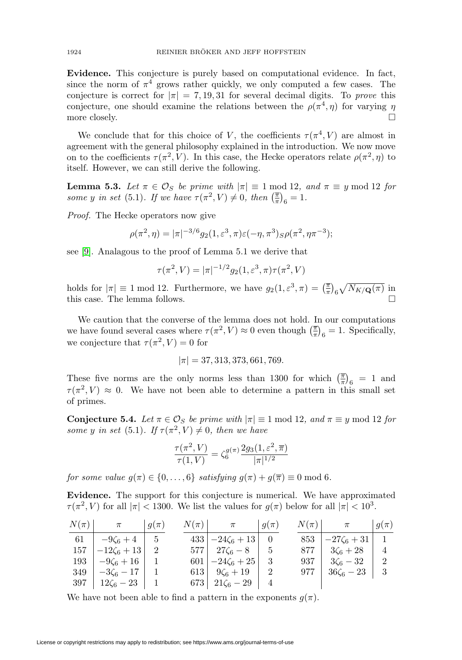**Evidence.** This conjecture is purely based on computational evidence. In fact, since the norm of  $\pi^4$  grows rather quickly, we only computed a few cases. The conjecture is correct for  $|\pi| = 7, 19, 31$  for several decimal digits. To prove this conjecture, one should examine the relations between the  $\rho(\pi^4, \eta)$  for varying  $\eta$ more closely.  $\Box$ 

We conclude that for this choice of V, the coefficients  $\tau(\pi^4, V)$  are almost in agreement with the general philosophy explained in the introduction. We now move on to the coefficients  $\tau(\pi^2, V)$ . In this case, the Hecke operators relate  $\rho(\pi^2, \eta)$  to itself. However, we can still derive the following.

**Lemma 5.3.** Let  $\pi \in \mathcal{O}_S$  be prime with  $|\pi| \equiv 1 \text{ mod } 12$ , and  $\pi \equiv y \text{ mod } 12$  for some y in set (5.1). If we have  $\tau(\pi^2, V) \neq 0$ , then  $\left(\frac{\pi}{\pi}\right)_6 = 1$ .

Proof. The Hecke operators now give

$$
\rho(\pi^2, \eta) = |\pi|^{-3/6} g_2(1, \varepsilon^3, \pi) \varepsilon(-\eta, \pi^3) S \rho(\pi^2, \eta \pi^{-3});
$$

see [\[9\]](#page-26-4). Analagous to the proof of Lemma 5.1 we derive that

$$
\tau(\pi^2, V) = |\pi|^{-1/2} g_2(1, \varepsilon^3, \pi) \tau(\pi^2, V)
$$

holds for  $|\pi| \equiv 1 \mod 12$ . Furthermore, we have  $g_2(1, \varepsilon^3, \pi) = \left(\frac{\pi}{\pi}\right)_6 \sqrt{N_{K/\mathbf{Q}}(\pi)}$  in this case. The lemma follows. -

We caution that the converse of the lemma does not hold. In our computations we have found several cases where  $\tau(\pi^2, V) \approx 0$  even though  $\left(\frac{\pi}{\pi}\right)_6 = 1$ . Specifically, we conjecture that  $\tau(\pi^2, V) = 0$  for

$$
|\pi| = 37,313,373,661,769.
$$

These five norms are the only norms less than 1300 for which  $\left(\frac{\overline{\pi}}{\pi}\right)_{6} = 1$  and  $\tau(\pi^2, V) \approx 0$ . We have not been able to determine a pattern in this small set of primes.

**Conjecture 5.4.** Let  $\pi \in \mathcal{O}_S$  be prime with  $|\pi| \equiv 1 \text{ mod } 12$ , and  $\pi \equiv y \text{ mod } 12$  for some y in set (5.1). If  $\tau(\pi^2, V) \neq 0$ , then we have

$$
\frac{\tau(\pi^2, V)}{\tau(1, V)} = \zeta_6^{g(\pi)} \frac{2g_3(1, \varepsilon^2, \overline{\pi})}{|\pi|^{1/2}}
$$

for some value  $g(\pi) \in \{0, \ldots, 6\}$  satisfying  $g(\pi) + g(\overline{\pi}) \equiv 0 \mod 6$ .

**Evidence.** The support for this conjecture is numerical. We have approximated  $\tau(\pi^2, V)$  for all  $|\pi| < 1300$ . We list the values for  $g(\pi)$  below for all  $|\pi| < 10^3$ .

| $N(\pi)$ | $\pi$                            | $+g(\pi)$ | $N(\pi)$ | $\pi$                             | $q(\pi)$ | $N(\pi)$ | $\pi$             | $-g(\pi)$ |
|----------|----------------------------------|-----------|----------|-----------------------------------|----------|----------|-------------------|-----------|
| 61       | $-9\zeta_6+4$                    |           |          | $433 \big  -24\zeta_6 + 13 \big $ |          | 853      | $-27\zeta_6 + 31$ |           |
| 157      | $-12\zeta_6+13$                  |           |          | $577 \,   \, 27\zeta_6 - 8$       |          | 877      | $3\zeta_6+28$     |           |
| 193      | $-9\zeta_6+16$                   |           |          | $601 \big  -24\zeta_6 + 25 \big $ |          | 937      | $3\zeta_6 - 32$   |           |
| 349      | $-3\zeta_6-17$                   |           |          | 613 $9\zeta_6 + 19$               |          | 977      | $36\zeta_6 - 23$  |           |
|          | $397 \mid 12\zeta_6 - 23 \mid 1$ |           |          | 673   $21\zeta_6 - 29$            |          |          |                   |           |

We have not been able to find a pattern in the exponents  $g(\pi)$ .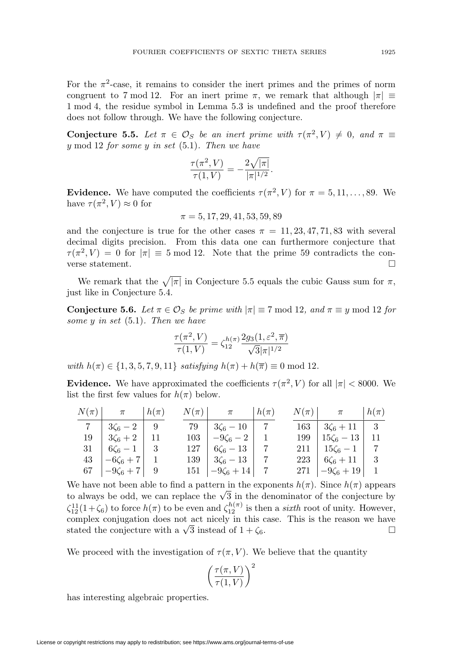For the  $\pi^2$ -case, it remains to consider the inert primes and the primes of norm congruent to 7 mod 12. For an inert prime  $\pi$ , we remark that although  $|\pi| \equiv$ 1 mod 4, the residue symbol in Lemma 5.3 is undefined and the proof therefore does not follow through. We have the following conjecture.

**Conjecture 5.5.** Let  $\pi \in \mathcal{O}_S$  be an inert prime with  $\tau(\pi^2, V) \neq 0$ , and  $\pi \equiv$ y mod 12 for some y in set  $(5.1)$ . Then we have

$$
\frac{\tau(\pi^2, V)}{\tau(1, V)} = -\frac{2\sqrt{|\pi|}}{|\pi|^{1/2}}.
$$

**Evidence.** We have computed the coefficients  $\tau(\pi^2, V)$  for  $\pi = 5, 11, \ldots, 89$ . We have  $\tau(\pi^2, V) \approx 0$  for

$$
\pi=5,17,29,41,53,59,89
$$

and the conjecture is true for the other cases  $\pi = 11, 23, 47, 71, 83$  with several decimal digits precision. From this data one can furthermore conjecture that  $\tau(\pi^2, V) = 0$  for  $|\pi| \equiv 5 \text{ mod } 12$ . Note that the prime 59 contradicts the converse statement.  $\Box$ 

We remark that the  $\sqrt{|\pi|}$  in Conjecture 5.5 equals the cubic Gauss sum for  $\pi$ , just like in Conjecture 5.4.

**Conjecture 5.6.** Let  $\pi \in \mathcal{O}_S$  be prime with  $|\pi| \equiv 7 \text{ mod } 12$ , and  $\pi \equiv y \text{ mod } 12$  for some  $y$  in set  $(5.1)$ . Then we have

$$
\frac{\tau(\pi^2, V)}{\tau(1, V)} = \zeta_{12}^{h(\pi)} \frac{2g_3(1, \varepsilon^2, \overline{\pi})}{\sqrt{3}|\pi|^{1/2}}
$$

with  $h(\pi) \in \{1, 3, 5, 7, 9, 11\}$  satisfying  $h(\pi) + h(\overline{\pi}) \equiv 0 \text{ mod } 12$ .

**Evidence.** We have approximated the coefficients  $\tau(\pi^2, V)$  for all  $|\pi| < 8000$ . We list the first few values for  $h(\pi)$  below.

| $N(\pi)$ $\pi$ $h(\pi)$        |  | $N(\pi)$ $\pi$ $h(\pi)$          |  | $N(\pi)$ $\pi$ $h(\pi)$           |  |
|--------------------------------|--|----------------------------------|--|-----------------------------------|--|
| 7   $3\zeta_6 - 2$   9         |  | $79 \mid 3\zeta_6 - 10 \mid 7$   |  | $163 \mid 3\zeta_6 + 11 \mid 3$   |  |
| $19 \mid 3\zeta_6 + 2 \mid 11$ |  | $103 - 9\zeta_6 - 2$ 1           |  | $199 \mid 15\zeta_6 - 13 \mid 11$ |  |
| $31 \mid 6\zeta_6 - 1 \mid 3$  |  | $127 \mid 6\zeta_6 - 13 \mid 7$  |  | $211 \mid 15\zeta_6 - 1 \mid 7$   |  |
| $43 \mid -6\zeta_6 + 7 \mid 1$ |  | $139 \mid 3\zeta_6 - 13 \mid 7$  |  | $223 \mid 6\zeta_6 + 11 \mid 3$   |  |
| 67 $-9\zeta_6 + 7$ 9           |  | $151 \mid -9\zeta_6 + 14 \mid 7$ |  | 271 $-9\zeta_6 + 19$ 1            |  |

We have not been able to find a pattern in the exponents  $h(\pi)$ . Since  $h(\pi)$  appears We have not been able to find a pattern in the exponents  $h(\pi)$ . Since  $h(\pi)$  appears to always be odd, we can replace the  $\sqrt{3}$  in the denominator of the conjecture by  $\zeta_{12}^{11}(1+\zeta_6)$  to force  $h(\pi)$  to be even and  $\zeta_{12}^{h(\pi)}$  is then a *sixth* root of unity. However, complex conjugation does not act nicely in this case. This is the reason we have complex conjugation does not act incely in this case. This is the reason we have stated the conjecture with a  $\sqrt{3}$  instead of  $1 + \zeta_6$ .  $\Box$ 

We proceed with the investigation of  $\tau(\pi, V)$ . We believe that the quantity

$$
\left(\frac{\tau(\pi, V)}{\tau(1, V)}\right)^2
$$

has interesting algebraic properties.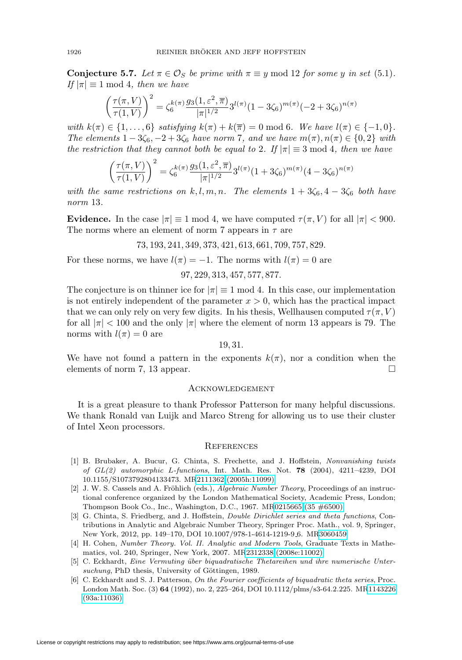**Conjecture 5.7.** Let  $\pi \in \mathcal{O}_S$  be prime with  $\pi \equiv y \mod 12$  for some y in set (5.1). If  $|\pi| \equiv 1 \mod 4$ , then we have

$$
\left(\frac{\tau(\pi, V)}{\tau(1, V)}\right)^2 = \zeta_6^{k(\pi)} \frac{g_3(1, \varepsilon^2, \overline{\pi})}{|\pi|^{1/2}} 3^{l(\pi)} (1 - 3\zeta_6)^{m(\pi)} (-2 + 3\zeta_6)^{n(\pi)}
$$

with  $k(\pi) \in \{1,\ldots,6\}$  satisfying  $k(\pi) + k(\overline{\pi}) = 0 \mod 6$ . We have  $l(\pi) \in \{-1,0\}$ . The elements  $1-3\zeta_6$ ,  $-2+3\zeta_6$  have norm 7, and we have  $m(\pi), n(\pi) \in \{0,2\}$  with the restriction that they cannot both be equal to 2. If  $|\pi| \equiv 3 \text{ mod } 4$ , then we have

$$
\left(\frac{\tau(\pi,V)}{\tau(1,V)}\right)^2 = \zeta_6^{k(\pi)} \frac{g_3(1,\varepsilon^2,\overline{\pi})}{|\pi|^{1/2}} 3^{l(\pi)} (1+3\zeta_6)^{m(\pi)} (4-3\zeta_6)^{n(\pi)}
$$

with the same restrictions on k, l, m, n. The elements  $1+3\zeta_6$ ,  $4-3\zeta_6$  both have norm 13.

**Evidence.** In the case  $|\pi| \equiv 1 \mod 4$ , we have computed  $\tau(\pi, V)$  for all  $|\pi| < 900$ . The norms where an element of norm 7 appears in  $\tau$  are

73, 193, 241, 349, 373, 421, 613, 661, 709, 757, 829.

For these norms, we have  $l(\pi) = -1$ . The norms with  $l(\pi) = 0$  are

# 97, 229, 313, 457, 577, 877.

The conjecture is on thinner ice for  $|\pi| \equiv 1 \mod 4$ . In this case, our implementation is not entirely independent of the parameter  $x > 0$ , which has the practical impact that we can only rely on very few digits. In his thesis, Wellhausen computed  $\tau(\pi, V)$ for all  $|\pi| < 100$  and the only  $|\pi|$  where the element of norm 13 appears is 79. The norms with  $l(\pi) = 0$  are

## 19, 31.

We have not found a pattern in the exponents  $k(\pi)$ , nor a condition when the elements of norm 7, 13 appear.  $\Box$ 

## **ACKNOWLEDGEMENT**

It is a great pleasure to thank Professor Patterson for many helpful discussions. We thank Ronald van Luijk and Marco Streng for allowing us to use their cluster of Intel Xeon processors.

### **REFERENCES**

- <span id="page-25-0"></span>[1] B. Brubaker, A. Bucur, G. Chinta, S. Frechette, and J. Hoffstein, Nonvanishing twists of GL(2) automorphic L-functions, Int. Math. Res. Not. **78** (2004), 4211–4239, DOI 10.1155/S1073792804133473. M[R2111362 \(2005h:11099\)](http://www.ams.org/mathscinet-getitem?mr=2111362)
- <span id="page-25-5"></span>[2] J. W. S. Cassels and A. Fröhlich (eds.), Algebraic Number Theory, Proceedings of an instructional conference organized by the London Mathematical Society, Academic Press, London; Thompson Book Co., Inc., Washington, D.C., 1967. M[R0215665 \(35 #6500\)](http://www.ams.org/mathscinet-getitem?mr=0215665)
- <span id="page-25-1"></span>[3] G. Chinta, S. Friedberg, and J. Hoffstein, *Double Dirichlet series and theta functions*, Contributions in Analytic and Algebraic Number Theory, Springer Proc. Math., vol. 9, Springer, New York, 2012, pp. 149–170, DOI 10.1007/978-1-4614-1219-9 6. M[R3060459](http://www.ams.org/mathscinet-getitem?mr=3060459)
- <span id="page-25-4"></span>[4] H. Cohen, Number Theory. Vol. II. Analytic and Modern Tools, Graduate Texts in Mathematics, vol. 240, Springer, New York, 2007. M[R2312338 \(2008e:11002\)](http://www.ams.org/mathscinet-getitem?mr=2312338)
- <span id="page-25-3"></span>[5] C. Eckhardt, Eine Vermuting ¨uber biquadratische Thetareihen und ihre numerische Untersuchung, PhD thesis, University of Göttingen, 1989.
- <span id="page-25-2"></span>[6] C. Eckhardt and S. J. Patterson, On the Fourier coefficients of biquadratic theta series, Proc. London Math. Soc. (3) **64** (1992), no. 2, 225–264, DOI 10.1112/plms/s3-64.2.225. M[R1143226](http://www.ams.org/mathscinet-getitem?mr=1143226) [\(93a:11036\)](http://www.ams.org/mathscinet-getitem?mr=1143226)